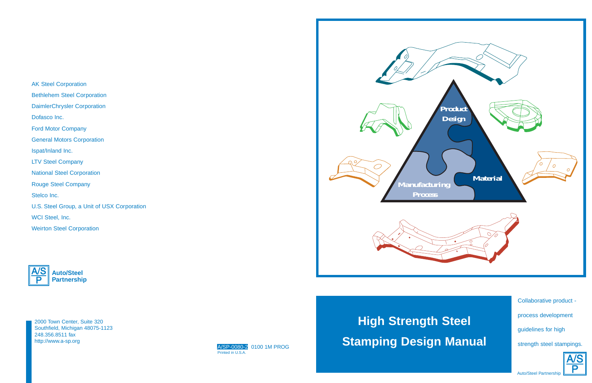AK Steel Corporation Bethlehem Steel Corporation DaimlerChrysler Corporation Dofasco Inc. Ford Motor Company General Motors Corporation Ispat/Inland Inc. LTV Steel Company National Steel Corporation Rouge Steel Company Stelco Inc. U.S. Steel Group, a Unit of USX Corporation WCI Steel, Inc. Weirton Steel Corporation



2000 Town Center, Suite 320 Southfield, Michigan 48075-1123 248.356.8511 fax http://www.a-sp.org

#### A/SP-0080-2 0100 1M PROG Printed in U.S.A.



# **High Strength Steel Stamping Design Manual**

Collaborative product process development guidelines for high strength steel stampings.



Auto/Steel Partnership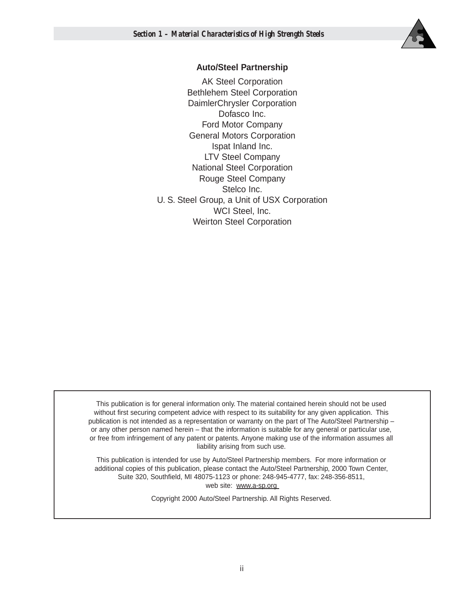

## **Auto/Steel Partnership**

AK Steel Corporation Bethlehem Steel Corporation DaimlerChrysler Corporation Dofasco Inc. Ford Motor Company General Motors Corporation Ispat Inland Inc. LTV Steel Company National Steel Corporation Rouge Steel Company Stelco Inc. U. S. Steel Group, a Unit of USX Corporation WCI Steel, Inc. Weirton Steel Corporation

This publication is for general information only. The material contained herein should not be used without first securing competent advice with respect to its suitability for any given application. This publication is not intended as a representation or warranty on the part of The Auto/Steel Partnership – or any other person named herein – that the information is suitable for any general or particular use, or free from infringement of any patent or patents. Anyone making use of the information assumes all liability arising from such use.

This publication is intended for use by Auto/Steel Partnership members. For more information or additional copies of this publication, please contact the Auto/Steel Partnership, 2000 Town Center, Suite 320, Southfield, MI 48075-1123 or phone: 248-945-4777, fax: 248-356-8511, web site: www.a-sp.org

Copyright 2000 Auto/Steel Partnership. All Rights Reserved.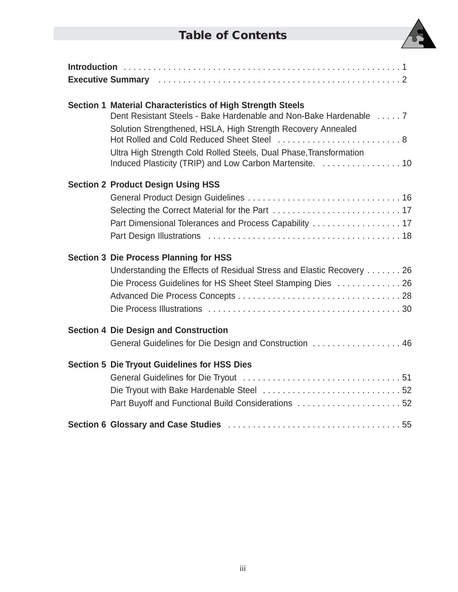# **Table of Contents**



| Section 1 Material Characteristics of High Strength Steels<br>Dent Resistant Steels - Bake Hardenable and Non-Bake Hardenable  7<br>Solution Strengthened, HSLA, High Strength Recovery Annealed<br>Hot Rolled and Cold Reduced Sheet Steel  8<br>Ultra High Strength Cold Rolled Steels, Dual Phase, Transformation |
|----------------------------------------------------------------------------------------------------------------------------------------------------------------------------------------------------------------------------------------------------------------------------------------------------------------------|
| <b>Section 2 Product Design Using HSS</b><br>Part Dimensional Tolerances and Process Capability  17                                                                                                                                                                                                                  |
| <b>Section 3 Die Process Planning for HSS</b><br>Understanding the Effects of Residual Stress and Elastic Recovery 26<br>Die Process Guidelines for HS Sheet Steel Stamping Dies  26                                                                                                                                 |
| <b>Section 4 Die Design and Construction</b><br>General Guidelines for Die Design and Construction  46                                                                                                                                                                                                               |
| <b>Section 5 Die Tryout Guidelines for HSS Dies</b><br>Part Buyoff and Functional Build Considerations 52                                                                                                                                                                                                            |
|                                                                                                                                                                                                                                                                                                                      |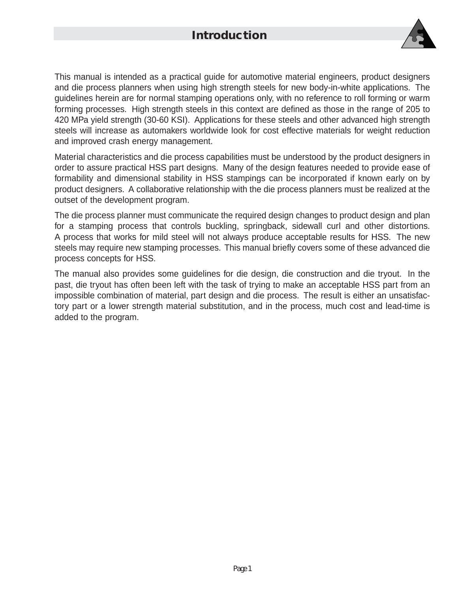# **Introduction**



This manual is intended as a practical guide for automotive material engineers, product designers and die process planners when using high strength steels for new body-in-white applications. The guidelines herein are for normal stamping operations only, with no reference to roll forming or warm forming processes. High strength steels in this context are defined as those in the range of 205 to 420 MPa yield strength (30-60 KSI). Applications for these steels and other advanced high strength steels will increase as automakers worldwide look for cost effective materials for weight reduction and improved crash energy management.

Material characteristics and die process capabilities must be understood by the product designers in order to assure practical HSS part designs. Many of the design features needed to provide ease of formability and dimensional stability in HSS stampings can be incorporated if known early on by product designers. A collaborative relationship with the die process planners must be realized at the outset of the development program.

The die process planner must communicate the required design changes to product design and plan for a stamping process that controls buckling, springback, sidewall curl and other distortions. A process that works for mild steel will not always produce acceptable results for HSS. The new steels may require new stamping processes. This manual briefly covers some of these advanced die process concepts for HSS.

The manual also provides some guidelines for die design, die construction and die tryout. In the past, die tryout has often been left with the task of trying to make an acceptable HSS part from an impossible combination of material, part design and die process. The result is either an unsatisfactory part or a lower strength material substitution, and in the process, much cost and lead-time is added to the program.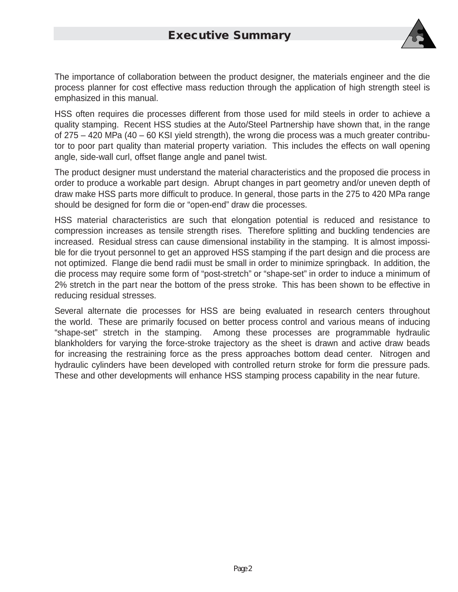

The importance of collaboration between the product designer, the materials engineer and the die process planner for cost effective mass reduction through the application of high strength steel is emphasized in this manual.

HSS often requires die processes different from those used for mild steels in order to achieve a quality stamping. Recent HSS studies at the Auto/Steel Partnership have shown that, in the range of 275 – 420 MPa (40 – 60 KSI yield strength), the wrong die process was a much greater contributor to poor part quality than material property variation. This includes the effects on wall opening angle, side-wall curl, offset flange angle and panel twist.

The product designer must understand the material characteristics and the proposed die process in order to produce a workable part design. Abrupt changes in part geometry and/or uneven depth of draw make HSS parts more difficult to produce. In general, those parts in the 275 to 420 MPa range should be designed for form die or "open-end" draw die processes.

HSS material characteristics are such that elongation potential is reduced and resistance to compression increases as tensile strength rises. Therefore splitting and buckling tendencies are increased. Residual stress can cause dimensional instability in the stamping. It is almost impossible for die tryout personnel to get an approved HSS stamping if the part design and die process are not optimized. Flange die bend radii must be small in order to minimize springback. In addition, the die process may require some form of "post-stretch" or "shape-set" in order to induce a minimum of 2% stretch in the part near the bottom of the press stroke. This has been shown to be effective in reducing residual stresses.

Several alternate die processes for HSS are being evaluated in research centers throughout the world. These are primarily focused on better process control and various means of inducing "shape-set" stretch in the stamping. Among these processes are programmable hydraulic blankholders for varying the force-stroke trajectory as the sheet is drawn and active draw beads for increasing the restraining force as the press approaches bottom dead center. Nitrogen and hydraulic cylinders have been developed with controlled return stroke for form die pressure pads. These and other developments will enhance HSS stamping process capability in the near future.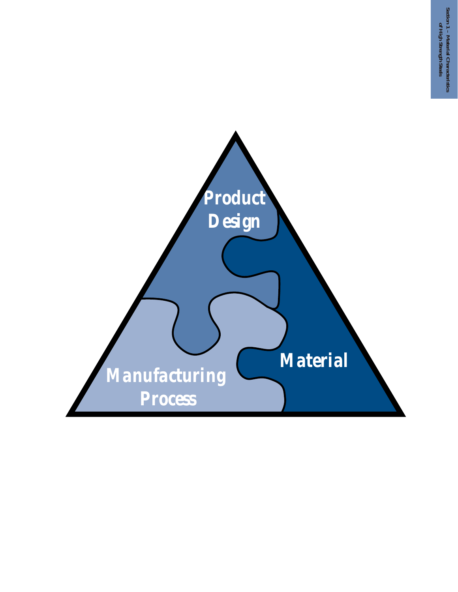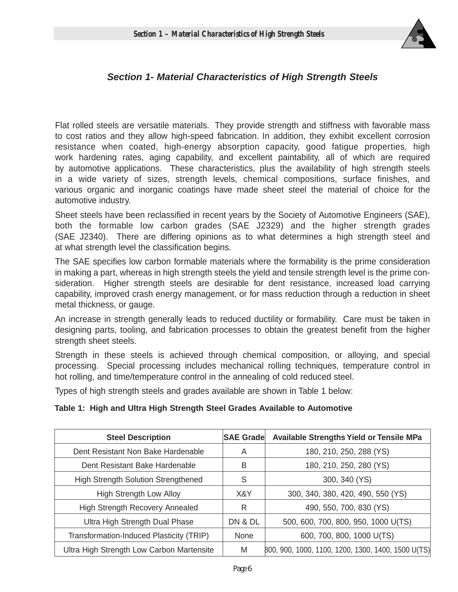

## **Section 1- Material Characteristics of High Strength Steels**

Flat rolled steels are versatile materials. They provide strength and stiffness with favorable mass to cost ratios and they allow high-speed fabrication. In addition, they exhibit excellent corrosion resistance when coated, high-energy absorption capacity, good fatigue properties, high work hardening rates, aging capability, and excellent paintability, all of which are required by automotive applications. These characteristics, plus the availability of high strength steels in a wide variety of sizes, strength levels, chemical compositions, surface finishes, and various organic and inorganic coatings have made sheet steel the material of choice for the automotive industry.

Sheet steels have been reclassified in recent years by the Society of Automotive Engineers (SAE), both the formable low carbon grades (SAE J2329) and the higher strength grades (SAE J2340). There are differing opinions as to what determines a high strength steel and at what strength level the classification begins.

The SAE specifies low carbon formable materials where the formability is the prime consideration in making a part, whereas in high strength steels the yield and tensile strength level is the prime consideration. Higher strength steels are desirable for dent resistance, increased load carrying capability, improved crash energy management, or for mass reduction through a reduction in sheet metal thickness, or gauge.

An increase in strength generally leads to reduced ductility or formability. Care must be taken in designing parts, tooling, and fabrication processes to obtain the greatest benefit from the higher strength sheet steels.

Strength in these steels is achieved through chemical composition, or alloying, and special processing. Special processing includes mechanical rolling techniques, temperature control in hot rolling, and time/temperature control in the annealing of cold reduced steel.

Types of high strength steels and grades available are shown in Table 1 below:

#### **Table 1: High and Ultra High Strength Steel Grades Available to Automotive**

| <b>Steel Description</b>                   | <b>SAE Grade</b> | <b>Available Strengths Yield or Tensile MPa</b>    |
|--------------------------------------------|------------------|----------------------------------------------------|
| Dent Resistant Non Bake Hardenable         | A                | 180, 210, 250, 288 (YS)                            |
| Dent Resistant Bake Hardenable             | B                | 180, 210, 250, 280 (YS)                            |
| <b>High Strength Solution Strengthened</b> | S                | 300, 340 (YS)                                      |
| High Strength Low Alloy                    | X&Y              | 300, 340, 380, 420, 490, 550 (YS)                  |
| High Strength Recovery Annealed            | R                | 490, 550, 700, 830 (YS)                            |
| Ultra High Strength Dual Phase             | DN & DL          | 500, 600, 700, 800, 950, 1000 U(TS)                |
| Transformation-Induced Plasticity (TRIP)   | None             | 600, 700, 800, 1000 U(TS)                          |
| Ultra High Strength Low Carbon Martensite  | M                | 800, 900, 1000, 1100, 1200, 1300, 1400, 1500 U(TS) |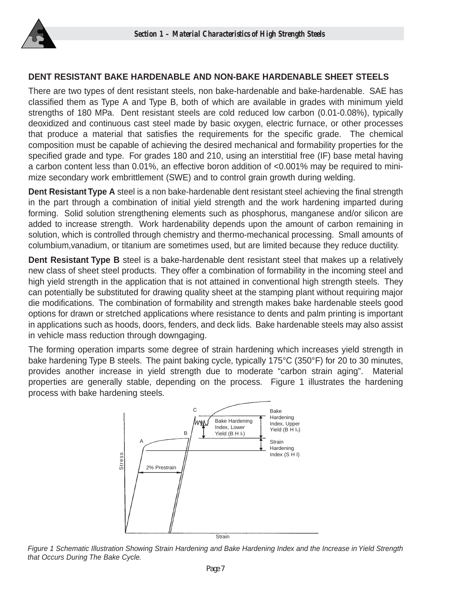

## **DENT RESISTANT BAKE HARDENABLE AND NON-BAKE HARDENABLE SHEET STEELS**

There are two types of dent resistant steels, non bake-hardenable and bake-hardenable. SAE has classified them as Type A and Type B, both of which are available in grades with minimum yield strengths of 180 MPa. Dent resistant steels are cold reduced low carbon (0.01-0.08%), typically deoxidized and continuous cast steel made by basic oxygen, electric furnace, or other processes that produce a material that satisfies the requirements for the specific grade. The chemical composition must be capable of achieving the desired mechanical and formability properties for the specified grade and type. For grades 180 and 210, using an interstitial free (IF) base metal having a carbon content less than 0.01%, an effective boron addition of <0.001% may be required to minimize secondary work embrittlement (SWE) and to control grain growth during welding.

**Dent Resistant Type A** steel is a non bake-hardenable dent resistant steel achieving the final strength in the part through a combination of initial yield strength and the work hardening imparted during forming. Solid solution strengthening elements such as phosphorus, manganese and/or silicon are added to increase strength. Work hardenability depends upon the amount of carbon remaining in solution, which is controlled through chemistry and thermo-mechanical processing. Small amounts of columbium,vanadium, or titanium are sometimes used, but are limited because they reduce ductility.

**Dent Resistant Type B** steel is a bake-hardenable dent resistant steel that makes up a relatively new class of sheet steel products. They offer a combination of formability in the incoming steel and high yield strength in the application that is not attained in conventional high strength steels. They can potentially be substituted for drawing quality sheet at the stamping plant without requiring major die modifications. The combination of formability and strength makes bake hardenable steels good options for drawn or stretched applications where resistance to dents and palm printing is important in applications such as hoods, doors, fenders, and deck lids. Bake hardenable steels may also assist in vehicle mass reduction through downgaging.

The forming operation imparts some degree of strain hardening which increases yield strength in bake hardening Type B steels. The paint baking cycle, typically 175°C (350°F) for 20 to 30 minutes, provides another increase in yield strength due to moderate "carbon strain aging". Material properties are generally stable, depending on the process. Figure 1 illustrates the hardening process with bake hardening steels.



Figure 1 Schematic Illustration Showing Strain Hardening and Bake Hardening Index and the Increase in Yield Strength that Occurs During The Bake Cycle.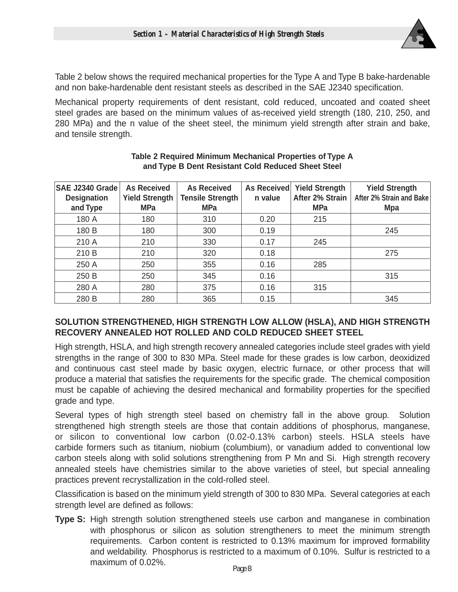

Table 2 below shows the required mechanical properties for the Type A and Type B bake-hardenable and non bake-hardenable dent resistant steels as described in the SAE J2340 specification.

Mechanical property requirements of dent resistant, cold reduced, uncoated and coated sheet steel grades are based on the minimum values of as-received yield strength (180, 210, 250, and 280 MPa) and the n value of the sheet steel, the minimum yield strength after strain and bake, and tensile strength.

| SAE J2340 Grade<br><b>Designation</b><br>and Type | <b>As Received</b><br><b>Yield Strength</b><br><b>MPa</b> | <b>As Received</b><br><b>Tensile Strength</b><br><b>MPa</b> | As Received<br>n value | <b>Yield Strength</b><br>After 2% Strain<br><b>MPa</b> | <b>Yield Strength</b><br>After 2% Strain and Bake<br><b>Mpa</b> |
|---------------------------------------------------|-----------------------------------------------------------|-------------------------------------------------------------|------------------------|--------------------------------------------------------|-----------------------------------------------------------------|
| 180 A                                             | 180                                                       | 310                                                         | 0.20                   | 215                                                    |                                                                 |
| 180 B                                             | 180                                                       | 300                                                         | 0.19                   |                                                        | 245                                                             |
| 210 A                                             | 210                                                       | 330                                                         | 0.17                   | 245                                                    |                                                                 |
| 210 B                                             | 210                                                       | 320                                                         | 0.18                   |                                                        | 275                                                             |
| 250 A                                             | 250                                                       | 355                                                         | 0.16                   | 285                                                    |                                                                 |
| 250 B                                             | 250                                                       | 345                                                         | 0.16                   |                                                        | 315                                                             |
| 280 A                                             | 280                                                       | 375                                                         | 0.16                   | 315                                                    |                                                                 |
| 280 B                                             | 280                                                       | 365                                                         | 0.15                   |                                                        | 345                                                             |

#### **Table 2 Required Minimum Mechanical Properties of Type A and Type B Dent Resistant Cold Reduced Sheet Steel**

## **SOLUTION STRENGTHENED, HIGH STRENGTH LOW ALLOW (HSLA), AND HIGH STRENGTH RECOVERY ANNEALED HOT ROLLED AND COLD REDUCED SHEET STEEL**

High strength, HSLA, and high strength recovery annealed categories include steel grades with yield strengths in the range of 300 to 830 MPa. Steel made for these grades is low carbon, deoxidized and continuous cast steel made by basic oxygen, electric furnace, or other process that will produce a material that satisfies the requirements for the specific grade. The chemical composition must be capable of achieving the desired mechanical and formability properties for the specified grade and type.

Several types of high strength steel based on chemistry fall in the above group. Solution strengthened high strength steels are those that contain additions of phosphorus, manganese, or silicon to conventional low carbon (0.02-0.13% carbon) steels. HSLA steels have carbide formers such as titanium, niobium (columbium), or vanadium added to conventional low carbon steels along with solid solutions strengthening from P Mn and Si. High strength recovery annealed steels have chemistries similar to the above varieties of steel, but special annealing practices prevent recrystallization in the cold-rolled steel.

Classification is based on the minimum yield strength of 300 to 830 MPa. Several categories at each strength level are defined as follows:

**Type S:** High strength solution strengthened steels use carbon and manganese in combination with phosphorus or silicon as solution strengtheners to meet the minimum strength requirements. Carbon content is restricted to 0.13% maximum for improved formability and weldability. Phosphorus is restricted to a maximum of 0.10%. Sulfur is restricted to a maximum of 0.02%.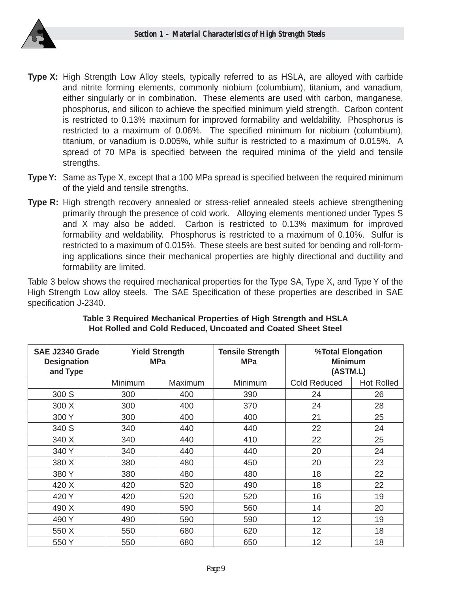

- **Type X:** High Strength Low Alloy steels, typically referred to as HSLA, are alloyed with carbide and nitrite forming elements, commonly niobium (columbium), titanium, and vanadium, either singularly or in combination. These elements are used with carbon, manganese, phosphorus, and silicon to achieve the specified minimum yield strength. Carbon content is restricted to 0.13% maximum for improved formability and weldability. Phosphorus is restricted to a maximum of 0.06%. The specified minimum for niobium (columbium), titanium, or vanadium is 0.005%, while sulfur is restricted to a maximum of 0.015%. A spread of 70 MPa is specified between the required minima of the yield and tensile strengths.
- **Type Y:** Same as Type X, except that a 100 MPa spread is specified between the required minimum of the yield and tensile strengths.
- **Type R:** High strength recovery annealed or stress-relief annealed steels achieve strengthening primarily through the presence of cold work. Alloying elements mentioned under Types S and X may also be added. Carbon is restricted to 0.13% maximum for improved formability and weldability. Phosphorus is restricted to a maximum of 0.10%. Sulfur is restricted to a maximum of 0.015%. These steels are best suited for bending and roll-forming applications since their mechanical properties are highly directional and ductility and formability are limited.

Table 3 below shows the required mechanical properties for the Type SA, Type X, and Type Y of the High Strength Low alloy steels. The SAE Specification of these properties are described in SAE specification J-2340.

| SAE J2340 Grade<br><b>Designation</b><br>and Type | <b>Yield Strength</b><br><b>MPa</b> |         | <b>Tensile Strength</b><br><b>MPa</b> | %Total Elongation<br><b>Minimum</b><br>(ASTM.L) |                   |  |  |
|---------------------------------------------------|-------------------------------------|---------|---------------------------------------|-------------------------------------------------|-------------------|--|--|
|                                                   | Minimum                             | Maximum | Minimum                               | <b>Cold Reduced</b>                             | <b>Hot Rolled</b> |  |  |
| 300 S                                             | 300                                 | 400     | 390                                   | 24                                              | 26                |  |  |
| 300 X                                             | 300                                 | 400     | 370                                   | 24                                              | 28                |  |  |
| 300Y                                              | 300                                 | 400     | 400                                   | 21                                              | 25                |  |  |
| 340 S                                             | 340                                 | 440     | 440                                   | 22                                              | 24                |  |  |
| 340 X                                             | 340<br>440                          |         | 410                                   | 22                                              | 25                |  |  |
| 340 Y                                             | 340                                 | 440     | 440                                   | 20                                              | 24                |  |  |
| 380 X                                             | 380                                 | 480     | 450                                   | 20                                              | 23                |  |  |
| 380Y                                              | 380                                 | 480     | 480                                   | 18                                              | 22                |  |  |
| 420 X                                             | 420                                 | 520     | 490                                   | 18                                              | 22                |  |  |
| 420 Y                                             | 420                                 | 520     | 520                                   | 16                                              | 19                |  |  |
| 490 X                                             | 490                                 | 590     | 560                                   | 14                                              | 20                |  |  |
| 490 Y                                             | 490                                 | 590     | 590                                   | 12                                              | 19                |  |  |
| 550 X                                             | 550                                 | 680     | 620                                   | 12                                              | 18                |  |  |
| 550 Y                                             | 550                                 | 680     | 650                                   | 12                                              | 18                |  |  |

#### **Table 3 Required Mechanical Properties of High Strength and HSLA Hot Rolled and Cold Reduced, Uncoated and Coated Sheet Steel**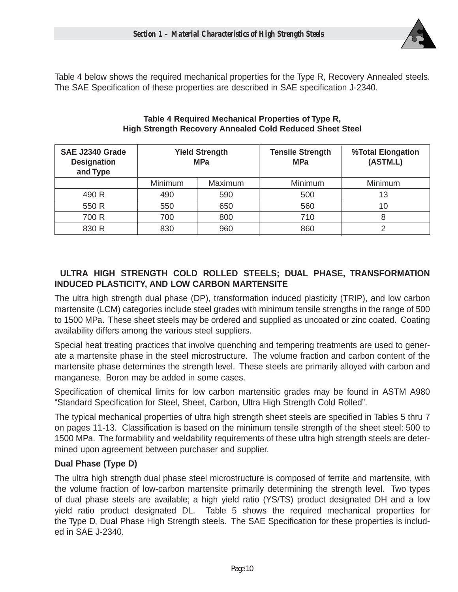

Table 4 below shows the required mechanical properties for the Type R, Recovery Annealed steels. The SAE Specification of these properties are described in SAE specification J-2340.

| SAE J2340 Grade<br><b>Designation</b><br>and Type |         | <b>Yield Strength</b><br><b>MPa</b> | <b>Tensile Strength</b><br><b>MPa</b> | %Total Elongation<br>(ASTM.L) |  |  |  |  |
|---------------------------------------------------|---------|-------------------------------------|---------------------------------------|-------------------------------|--|--|--|--|
|                                                   | Minimum | Maximum                             | Minimum                               | Minimum                       |  |  |  |  |
| 490 R                                             | 490     | 590                                 | 500                                   | 13                            |  |  |  |  |
| 550 R                                             | 550     | 650                                 | 560                                   | 10                            |  |  |  |  |
| 700 R                                             | 700     | 800                                 | 710                                   |                               |  |  |  |  |
| 830 R                                             | 830     | 960                                 | 860                                   |                               |  |  |  |  |

#### **Table 4 Required Mechanical Properties of Type R, High Strength Recovery Annealed Cold Reduced Sheet Steel**

## **ULTRA HIGH STRENGTH COLD ROLLED STEELS; DUAL PHASE, TRANSFORMATION INDUCED PLASTICITY, AND LOW CARBON MARTENSITE**

The ultra high strength dual phase (DP), transformation induced plasticity (TRIP), and low carbon martensite (LCM) categories include steel grades with minimum tensile strengths in the range of 500 to 1500 MPa. These sheet steels may be ordered and supplied as uncoated or zinc coated. Coating availability differs among the various steel suppliers.

Special heat treating practices that involve quenching and tempering treatments are used to generate a martensite phase in the steel microstructure. The volume fraction and carbon content of the martensite phase determines the strength level. These steels are primarily alloyed with carbon and manganese. Boron may be added in some cases.

Specification of chemical limits for low carbon martensitic grades may be found in ASTM A980 "Standard Specification for Steel, Sheet, Carbon, Ultra High Strength Cold Rolled".

The typical mechanical properties of ultra high strength sheet steels are specified in Tables 5 thru 7 on pages 11-13. Classification is based on the minimum tensile strength of the sheet steel: 500 to 1500 MPa. The formability and weldability requirements of these ultra high strength steels are determined upon agreement between purchaser and supplier.

## **Dual Phase (Type D)**

The ultra high strength dual phase steel microstructure is composed of ferrite and martensite, with the volume fraction of low-carbon martensite primarily determining the strength level. Two types of dual phase steels are available; a high yield ratio (YS/TS) product designated DH and a low yield ratio product designated DL. Table 5 shows the required mechanical properties for the Type D, Dual Phase High Strength steels. The SAE Specification for these properties is included in SAE J-2340.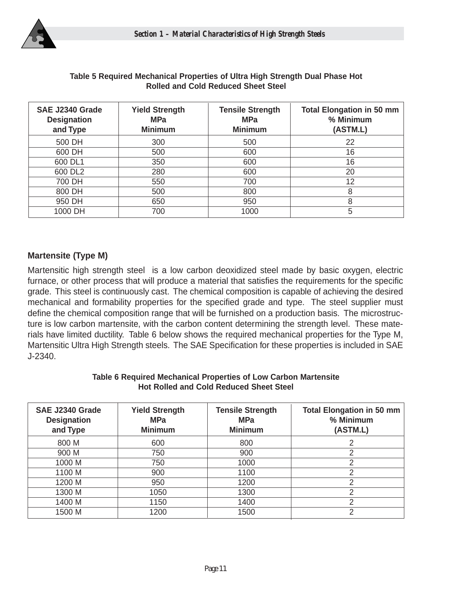

| SAE J2340 Grade<br><b>Designation</b><br>and Type | <b>Yield Strength</b><br><b>MPa</b><br><b>Minimum</b> | <b>Tensile Strength</b><br><b>MPa</b><br><b>Minimum</b> | Total Elongation in 50 mm<br>% Minimum<br>(ASTM.L) |
|---------------------------------------------------|-------------------------------------------------------|---------------------------------------------------------|----------------------------------------------------|
| 500 DH                                            | 300                                                   | 500                                                     | 22                                                 |
| 600 DH                                            | 500                                                   | 600                                                     | 16                                                 |
| 600 DL1                                           | 350                                                   | 600                                                     | 16                                                 |
| 600 DL2                                           | 280                                                   | 600                                                     | 20                                                 |
| 700 DH                                            | 550                                                   | 700                                                     | 12                                                 |
| 800 DH                                            | 500                                                   | 800                                                     | 8                                                  |
| 950 DH                                            | 650                                                   | 950                                                     | 8                                                  |
| 1000 DH                                           | 700                                                   | 1000                                                    | 5                                                  |

#### **Table 5 Required Mechanical Properties of Ultra High Strength Dual Phase Hot Rolled and Cold Reduced Sheet Steel**

## **Martensite (Type M)**

Martensitic high strength steel is a low carbon deoxidized steel made by basic oxygen, electric furnace, or other process that will produce a material that satisfies the requirements for the specific grade. This steel is continuously cast. The chemical composition is capable of achieving the desired mechanical and formability properties for the specified grade and type. The steel supplier must define the chemical composition range that will be furnished on a production basis. The microstructure is low carbon martensite, with the carbon content determining the strength level. These materials have limited ductility. Table 6 below shows the required mechanical properties for the Type M, Martensitic Ultra High Strength steels. The SAE Specification for these properties is included in SAE J-2340.

| SAE J2340 Grade<br><b>Designation</b><br>and Type | <b>Yield Strength</b><br><b>MPa</b><br><b>Minimum</b> | <b>Tensile Strength</b><br><b>MPa</b><br><b>Minimum</b> | <b>Total Elongation in 50 mm</b><br>% Minimum<br>(ASTM.L) |
|---------------------------------------------------|-------------------------------------------------------|---------------------------------------------------------|-----------------------------------------------------------|
| 800 M                                             | 600                                                   | 800                                                     | 2                                                         |
| 900 M                                             | 750                                                   | 900                                                     | 2                                                         |
| 1000 M                                            | 750                                                   | 1000                                                    | 2                                                         |
| 1100 M                                            | 900                                                   | 1100                                                    | $\overline{2}$                                            |
| 1200 M                                            | 950                                                   | 1200                                                    | 2                                                         |
| 1300 M                                            | 1050                                                  | 1300                                                    | 2                                                         |
| 1400 M                                            | 1150                                                  | 1400                                                    | 2                                                         |
| 1500 M                                            | 1200                                                  | 1500                                                    | 2                                                         |

#### **Table 6 Required Mechanical Properties of Low Carbon Martensite Hot Rolled and Cold Reduced Sheet Steel**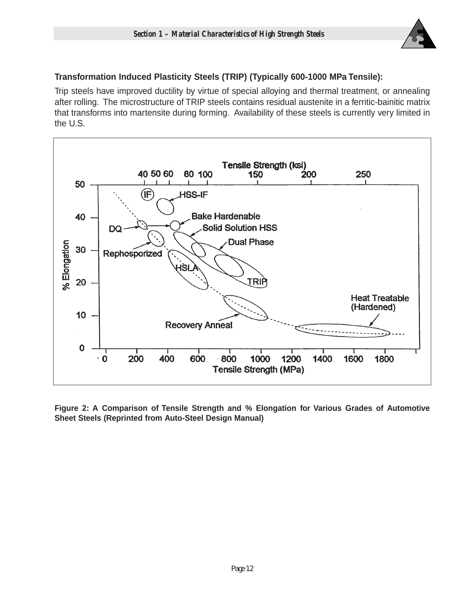

## **Transformation Induced Plasticity Steels (TRIP) (Typically 600-1000 MPa Tensile):**

Trip steels have improved ductility by virtue of special alloying and thermal treatment, or annealing after rolling. The microstructure of TRIP steels contains residual austenite in a ferritic-bainitic matrix that transforms into martensite during forming. Availability of these steels is currently very limited in the U.S.



**Figure 2: A Comparison of Tensile Strength and % Elongation for Various Grades of Automotive Sheet Steels (Reprinted from Auto-Steel Design Manual)**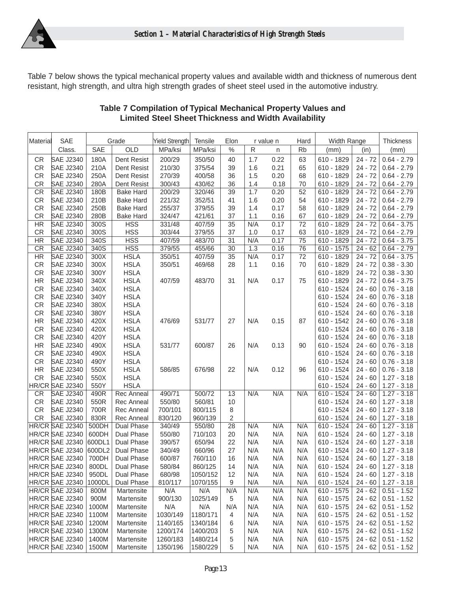

Table 7 below shows the typical mechanical property values and available width and thickness of numerous dent resistant, high strength, and ultra high strength grades of sheet steel used in the automotive industry.

| Material  | SAE              |        | Grade             | Yield Strength | Tensile  | Elon            |     | r value n | Hard            | Width Range  | <b>Thickness</b> |                       |
|-----------|------------------|--------|-------------------|----------------|----------|-----------------|-----|-----------|-----------------|--------------|------------------|-----------------------|
|           | Class.           | SAE    | OLD               | MPa/ksi        | MPa/ksi  | $\frac{0}{0}$   | R   | n         | <b>Rb</b>       | (mm)         | (in)             | (mm)                  |
| CR        | <b>SAE J2340</b> | 180A   | Dent Resist       | 200/29         | 350/50   | 40              | 1.7 | 0.22      | 63              | 610 - 1829   | $24 - 72$        | $0.64 - 2.79$         |
| <b>CR</b> | <b>SAE J2340</b> | 210A   | Dent Resist       | 210/30         | 375/54   | 39              | 1.6 | 0.21      | 65              | 610 - 1829   | $24 - 72$        | $0.64 - 2.79$         |
| CR        | <b>SAE J2340</b> | 250A   | Dent Resist       | 270/39         | 400/58   | 36              | 1.5 | 0.20      | 68              | 610 - 1829   | $24 - 72$        | $0.64 - 2.79$         |
| <b>CR</b> | <b>SAE J2340</b> | 280A   | Dent Resist       | 300/43         | 430/62   | 36              | 1.4 | 0.18      | 70              | 610 - 1829   | $24 - 72$        | $0.64 - 2.79$         |
| <b>CR</b> | <b>SAE J2340</b> | 180B   | <b>Bake Hard</b>  | 200/29         | 320/46   | 39              | 1.7 | 0.20      | 52              | 610 - 1829   | $24 - 72$        | $0.64 - 2.79$         |
| <b>CR</b> | <b>SAE J2340</b> | 210B   | <b>Bake Hard</b>  | 221/32         | 352/51   | 41              | 1.6 | 0.20      | 54              | 610 - 1829   | $24 - 72$        | $0.64 - 2.79$         |
| <b>CR</b> | <b>SAE J2340</b> | 250B   | <b>Bake Hard</b>  | 255/37         | 379/55   | 39              | 1.4 | 0.17      | 58              | 610 - 1829   | $24 - 72$        | $0.64 - 2.79$         |
| <b>CR</b> | <b>SAE J2340</b> | 280B   | <b>Bake Hard</b>  | 324/47         | 421/61   | 37              | 1.1 | 0.16      | 67              | 610 - 1829   | $24 - 72$        | $0.64 - 2.79$         |
| <b>HR</b> | <b>SAE J2340</b> | 300S   | <b>HSS</b>        | 331/48         | 407/59   | 35              | N/A | 0.17      | 72              | 610 - 1829   | $24 - 72$        | $0.64 - 3.75$         |
| <b>CR</b> | <b>SAE J2340</b> | 300S   | <b>HSS</b>        | 303/44         | 379/55   | 37              | 1.0 | 0.17      | 63              | 610 - 1829   | $24 - 72$        | $0.64 - 2.79$         |
| <b>HR</b> | <b>SAE J2340</b> | 340S   | <b>HSS</b>        | 407/59         | 483/70   | 31              | N/A | 0.17      | $\overline{75}$ | 610 - 1829   | $24 - 72$        | $0.64 - 3.75$         |
| CR        | <b>SAE J2340</b> | 340S   | <b>HSS</b>        | 379/55         | 455/66   | 30              | 1.3 | 0.16      | 76              | $610 - 1575$ | $24 - 62$        | $0.64 - 2.79$         |
| <b>HR</b> | <b>SAE J2340</b> | 300X   | <b>HSLA</b>       | 350/51         | 407/59   | $\overline{35}$ | N/A | 0.17      | $\overline{72}$ | 610 - 1829   | $24 - 72$        | $0.64 - 3.75$         |
| <b>CR</b> | <b>SAE J2340</b> | 300X   | <b>HSLA</b>       | 350/51         | 469/68   | 28              | 1.1 | 0.16      | 70              | 610 - 1829   | $24 - 72$        | $0.38 - 3.30$         |
| <b>CR</b> | <b>SAE J2340</b> | 300Y   | <b>HSLA</b>       |                |          |                 |     |           |                 | 610 - 1829   | $24 - 72$        | $0.38 - 3.30$         |
| <b>HR</b> | <b>SAE J2340</b> | 340X   | <b>HSLA</b>       | 407/59         | 483/70   | 31              | N/A | 0.17      | 75              | 610 - 1829   | 24 - 72          | $0.64 - 3.75$         |
| <b>CR</b> | <b>SAE J2340</b> | 340X   | <b>HSLA</b>       |                |          |                 |     |           |                 | 610 - 1524   | $24 - 60$        | $0.76 - 3.18$         |
| CR        | <b>SAE J2340</b> | 340Y   | <b>HSLA</b>       |                |          |                 |     |           |                 | 610 - 1524   | $24 - 60$        | $0.76 - 3.18$         |
| <b>CR</b> | <b>SAE J2340</b> | 380X   | <b>HSLA</b>       |                |          |                 |     |           |                 | 610 - 1524   | $24 - 60$        | $0.76 - 3.18$         |
| <b>CR</b> | <b>SAE J2340</b> | 380Y   | <b>HSLA</b>       |                |          |                 |     |           |                 | 610 - 1524   | $24 - 60$        | $0.76 - 3.18$         |
| <b>HR</b> | <b>SAE J2340</b> | 420X   | <b>HSLA</b>       | 476/69         | 531/77   | 27              | N/A | 0.15      | 87              | 610 - 1542   | $24 - 60$        | $0.76 - 3.18$         |
| <b>CR</b> | <b>SAE J2340</b> | 420X   | <b>HSLA</b>       |                |          |                 |     |           |                 | 610 - 1524   | $24 - 60$        | $0.76 - 3.18$         |
| <b>CR</b> | <b>SAE J2340</b> | 420Y   | <b>HSLA</b>       |                |          |                 |     |           |                 | 610 - 1524   | $24 - 60$        | $0.76 - 3.18$         |
| <b>HR</b> | <b>SAE J2340</b> | 490X   | <b>HSLA</b>       | 531/77         | 600/87   | 26              | N/A | 0.13      | 90              | 610 - 1524   | $24 - 60$        | $0.76 - 3.18$         |
| <b>CR</b> | <b>SAE J2340</b> | 490X   | <b>HSLA</b>       |                |          |                 |     |           |                 | 610 - 1524   | $24 - 60$        | $0.76 - 3.18$         |
| <b>CR</b> | <b>SAE J2340</b> | 490Y   | <b>HSLA</b>       |                |          |                 |     |           |                 | $610 - 1524$ | $24 - 60$        | $0.76 - 3.18$         |
| <b>HR</b> | <b>SAE J2340</b> | 550X   | <b>HSLA</b>       | 586/85         | 676/98   | 22              | N/A | 0.12      | 96              | 610 - 1524   | $24 - 60$        | $0.76 - 3.18$         |
| <b>CR</b> | <b>SAE J2340</b> | 550X   | <b>HSLA</b>       |                |          |                 |     |           |                 | 610 - 1524   | $24 - 60$        | $1.27 - 3.18$         |
|           | HR/CR SAE J2340  | 550Y   | <b>HSLA</b>       |                |          |                 |     |           |                 | 610 - 1524   | $24 - 60$        | $1.27 - 3.18$         |
| <b>CR</b> | <b>SAE J2340</b> | 490R   | Rec Anneal        | 490/71         | 500/72   | 13              | N/A | N/A       | N/A             | 610 - 1524   | $24 - 60$        | $1.27 - 3.18$         |
| <b>CR</b> | <b>SAE J2340</b> | 550R   | <b>Rec Anneal</b> | 550/80         | 560/81   | 10              |     |           |                 | 610 - 1524   | $24 - 60$        | $1.27 - 3.18$         |
| <b>CR</b> | <b>SAE J2340</b> | 700R   | <b>Rec Anneal</b> | 700/101        | 800/115  | 8               |     |           |                 | 610 - 1524   | $24 - 60$        | $1.27 - 3.18$         |
| <b>CR</b> | <b>SAE J2340</b> | 830R   | Rec Anneal        | 830/120        | 960/139  | 2               |     |           |                 | 610 - 1524   | $24 - 60$        | $1.27 - 3.18$         |
|           | HR/CR SAE J2340  | 500DH  | Dual Phase        | 340/49         | 550/80   | 28              | N/A | N/A       | N/A             | 610 - 1524   | $24 - 60$        | $1.27 - 3.18$         |
|           | HR/CR SAE J2340  | 600DH  | <b>Dual Phase</b> | 550/80         | 710/103  | 20              | N/A | N/A       | N/A             | 610 - 1524   | $24 - 60$        | $1.27 - 3.18$         |
|           | HR/CR SAE J2340  | 600DL1 | Dual Phase        | 390/57         | 650/94   | 22              | N/A | N/A       | N/A             | 610 - 1524   | $24 - 60$        | $1.27 - 3.18$         |
|           | HR/CR SAE J2340  | 600DL2 | Dual Phase        | 340/49         | 660/96   | 27              | N/A | N/A       | N/A             | 610 - 1524   | $24 - 60$        | $1.27 - 3.18$         |
|           | HR/CR SAE J2340  | 700DH  | Dual Phase        | 600/87         | 760/110  | 16              | N/A | N/A       | N/A             | 610 - 1524   | $24 - 60$        | $1.27 - 3.18$         |
|           | HR/CR SAE J2340  | 800DL  | Dual Phase        | 580/84         | 860/125  | 14              | N/A | N/A       | N/A             | 610 - 1524   |                  | $24 - 60$ 1.27 - 3.18 |
|           | HR/CR SAE J2340  | 950DL  | Dual Phase        | 680/98         | 1050/152 | 12              | N/A | N/A       | N/A             | 610 - 1524   | $24 - 60$        | $1.27 - 3.18$         |
|           | HR/CR SAE J2340  | 1000DL | Dual Phase        | 810/117        | 1070/155 | 9               | N/A | N/A       | N/A             | 610 - 1524   | 24 - 60          | $1.27 - 3.18$         |
|           | HR/CR SAE J2340  | 800M   | Martensite        | N/A            | N/A      | N/A             | N/A | N/A       | N/A             | $610 - 1575$ | $24 - 62$        | $0.51 - 1.52$         |
|           | HR/CR SAE J2340  | 900M   | Martensite        | 900/130        | 1025/149 | 5               | N/A | N/A       | N/A             | 610 - 1575   | 24 - 62          | $0.51 - 1.52$         |
|           | HR/CR SAE J2340  | 1000M  | Martensite        | N/A            | N/A      | N/A             | N/A | N/A       | N/A             | 610 - 1575   | 24 - 62          | $0.51 - 1.52$         |
|           | HR/CR SAE J2340  | 1100M  | Martensite        | 1030/149       | 1180/171 | 4               | N/A | N/A       | N/A             | 610 - 1575   | $24 - 62$        | $0.51 - 1.52$         |
|           | HR/CR SAE J2340  | 1200M  | Martensite        | 1140/165       | 1340/184 | 6               | N/A | N/A       | N/A             | 610 - 1575   | 24 - 62          | $0.51 - 1.52$         |
|           | HR/CR SAE J2340  | 1300M  | Martensite        | 1200/174       | 1400/203 | 5               | N/A | N/A       | N/A             | 610 - 1575   | 24 - 62          | $0.51 - 1.52$         |
|           | HR/CR SAE J2340  | 1400M  | Martensite        | 1260/183       | 1480/214 | 5               | N/A | N/A       | N/A             | 610 - 1575   | $24 - 62$        | $0.51 - 1.52$         |
|           | HR/CR SAE J2340  | 1500M  | Martensite        | 1350/196       | 1580/229 | 5               | N/A | N/A       | N/A             | $610 - 1575$ |                  | $24 - 62$ 0.51 - 1.52 |

#### **Table 7 Compilation of Typical Mechanical Property Values and Limited Steel Sheet Thickness and Width Availability**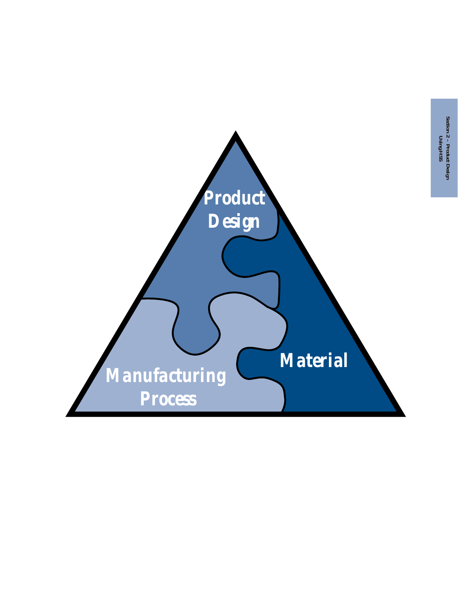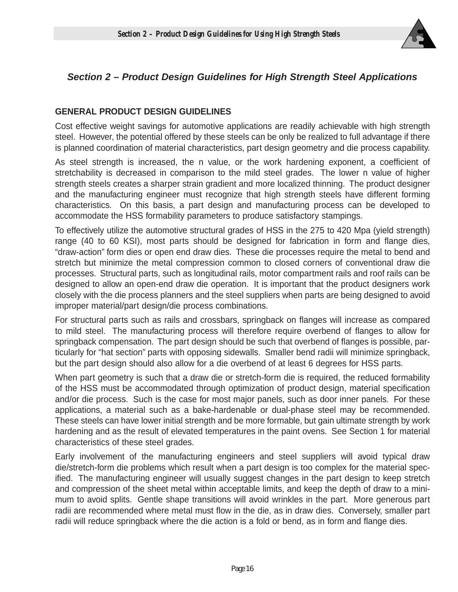

## **Section 2 – Product Design Guidelines for High Strength Steel Applications**

## **GENERAL PRODUCT DESIGN GUIDELINES**

Cost effective weight savings for automotive applications are readily achievable with high strength steel. However, the potential offered by these steels can be only be realized to full advantage if there is planned coordination of material characteristics, part design geometry and die process capability.

As steel strength is increased, the n value, or the work hardening exponent, a coefficient of stretchability is decreased in comparison to the mild steel grades. The lower n value of higher strength steels creates a sharper strain gradient and more localized thinning. The product designer and the manufacturing engineer must recognize that high strength steels have different forming characteristics. On this basis, a part design and manufacturing process can be developed to accommodate the HSS formability parameters to produce satisfactory stampings.

To effectively utilize the automotive structural grades of HSS in the 275 to 420 Mpa (yield strength) range (40 to 60 KSI), most parts should be designed for fabrication in form and flange dies, "draw-action" form dies or open end draw dies. These die processes require the metal to bend and stretch but minimize the metal compression common to closed corners of conventional draw die processes. Structural parts, such as longitudinal rails, motor compartment rails and roof rails can be designed to allow an open-end draw die operation. It is important that the product designers work closely with the die process planners and the steel suppliers when parts are being designed to avoid improper material/part design/die process combinations.

For structural parts such as rails and crossbars, springback on flanges will increase as compared to mild steel. The manufacturing process will therefore require overbend of flanges to allow for springback compensation. The part design should be such that overbend of flanges is possible, particularly for "hat section" parts with opposing sidewalls. Smaller bend radii will minimize springback, but the part design should also allow for a die overbend of at least 6 degrees for HSS parts.

When part geometry is such that a draw die or stretch-form die is required, the reduced formability of the HSS must be accommodated through optimization of product design, material specification and/or die process. Such is the case for most major panels, such as door inner panels. For these applications, a material such as a bake-hardenable or dual-phase steel may be recommended. These steels can have lower initial strength and be more formable, but gain ultimate strength by work hardening and as the result of elevated temperatures in the paint ovens. See Section 1 for material characteristics of these steel grades.

Early involvement of the manufacturing engineers and steel suppliers will avoid typical draw die/stretch-form die problems which result when a part design is too complex for the material specified. The manufacturing engineer will usually suggest changes in the part design to keep stretch and compression of the sheet metal within acceptable limits, and keep the depth of draw to a minimum to avoid splits. Gentle shape transitions will avoid wrinkles in the part. More generous part radii are recommended where metal must flow in the die, as in draw dies. Conversely, smaller part radii will reduce springback where the die action is a fold or bend, as in form and flange dies.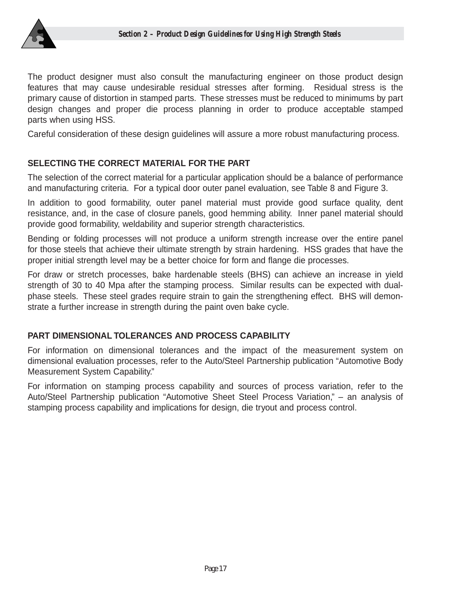

The product designer must also consult the manufacturing engineer on those product design features that may cause undesirable residual stresses after forming. Residual stress is the primary cause of distortion in stamped parts. These stresses must be reduced to minimums by part design changes and proper die process planning in order to produce acceptable stamped parts when using HSS.

Careful consideration of these design guidelines will assure a more robust manufacturing process.

## **SELECTING THE CORRECT MATERIAL FOR THE PART**

The selection of the correct material for a particular application should be a balance of performance and manufacturing criteria. For a typical door outer panel evaluation, see Table 8 and Figure 3.

In addition to good formability, outer panel material must provide good surface quality, dent resistance, and, in the case of closure panels, good hemming ability. Inner panel material should provide good formability, weldability and superior strength characteristics.

Bending or folding processes will not produce a uniform strength increase over the entire panel for those steels that achieve their ultimate strength by strain hardening. HSS grades that have the proper initial strength level may be a better choice for form and flange die processes.

For draw or stretch processes, bake hardenable steels (BHS) can achieve an increase in yield strength of 30 to 40 Mpa after the stamping process. Similar results can be expected with dualphase steels. These steel grades require strain to gain the strengthening effect. BHS will demonstrate a further increase in strength during the paint oven bake cycle.

## **PART DIMENSIONAL TOLERANCES AND PROCESS CAPABILITY**

For information on dimensional tolerances and the impact of the measurement system on dimensional evaluation processes, refer to the Auto/Steel Partnership publication "Automotive Body Measurement System Capability."

For information on stamping process capability and sources of process variation, refer to the Auto/Steel Partnership publication "Automotive Sheet Steel Process Variation," – an analysis of stamping process capability and implications for design, die tryout and process control.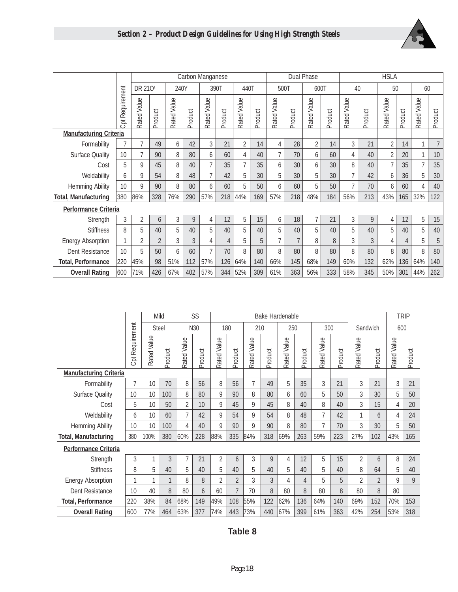



|                               |                        |                     | Carbon Manganese |             |            |                |                |                |            |                        |                | Dual Phase     | <b>HSLA</b> |                |                  |                |                |              |                |
|-------------------------------|------------------------|---------------------|------------------|-------------|------------|----------------|----------------|----------------|------------|------------------------|----------------|----------------|-------------|----------------|------------------|----------------|----------------|--------------|----------------|
|                               |                        |                     |                  |             |            |                |                |                |            |                        |                |                |             |                |                  |                |                |              |                |
|                               |                        | DR 210 <sup>1</sup> |                  |             | 240Y       |                | 390T           | 440T           |            |                        | 500T           | 600T           |             |                | 40               |                | 50             |              | 60             |
|                               | <b>Cpt Requirement</b> | Rated Value         | Product          | Rated Value | Product    | Rated Value    | Product        | Rated Value    | Product    | Rated Value            | Product        | Rated Value    | Product     | Rated Value    | Product          | Rated Value    | Product        | Rated Value  | Product        |
| <b>Manufacturing Criteria</b> |                        |                     |                  |             |            |                |                |                |            |                        |                |                |             |                |                  |                |                |              |                |
| Formability                   | $\overline{7}$         | $\overline{7}$      | 49               | 6           | 42         | 3              | 21             | $\overline{2}$ | 14         | 4                      | 28             | $\overline{2}$ | 14          | 3              | 21               | $\overline{2}$ | 14             | $\mathbf{1}$ | $\overline{7}$ |
| <b>Surface Quality</b>        | 10                     | $\overline{7}$      | 90               | 8           | 80         | 6              | 60             | 4              | 40         | $\overline{7}$         | 70             | 6              | 60          | 4              | 40               | $\overline{2}$ | 20             | 1            | $10$           |
| Cost                          | 5                      | 9                   | 45               | 8           | 40         | $\overline{7}$ | 35             | $\overline{7}$ | 35         | 6                      | 30             | 6              | 30          | 8              | 40               | $\overline{7}$ | 35             | 7            | 35             |
| Weldability                   | 6                      | 9                   | 54               | 8           | 48         | $\overline{7}$ | 42             | 5              | 30         | 5                      | 30             | 5              | 30          | $\overline{7}$ | 42               | 6              | 36             | 5            | 30             |
| <b>Hemming Ability</b>        | 10                     | 9                   | 90               | 8           | 80         | 6              | 60             | 5              | 50         | 6                      | 60             | 5              | 50          | $\overline{7}$ | 70               | 6              | 60             | 4            | 40             |
| <b>Total, Manufacturing</b>   | 380                    | 86%                 | 328              | 76%         | 290        | 57%            | 218            | 44%            | 169        | 57%                    | 218            | 48%            | 184         | 56%            | 213              | 43%            | 165            | 32%          | 122            |
| <b>Performance Criteria</b>   |                        |                     |                  |             |            |                |                |                |            |                        |                |                |             |                |                  |                |                |              |                |
| Strength                      | 3                      | $\overline{2}$      | 6                | 3           | 9          | 4              | 12             | 5              | 15         | 6                      | 18             | $\overline{7}$ | 21          | 3              | $\boldsymbol{9}$ | 4              | 12             | 5            | 15             |
| <b>Stiffness</b>              | 8                      | 5                   | 40               | 5           | 40         | 5              | 40             | 5              | 40         | 5                      | 40             | 5              | 40          | 5              | 40               | 5              | 40             | 5            | 40             |
| <b>Energy Absorption</b>      |                        | $\overline{2}$      | $\overline{2}$   | 3           | 3          | 4              | $\overline{4}$ | 5              | 5          | 7                      | $\overline{7}$ | 8              | 8           | 3              | 3                | 4              | $\overline{4}$ | 5            | $\sqrt{5}$     |
| Dent Resistance               | 10                     | 5                   | 50               | 6           | 60         | $\overline{7}$ | 70             | 8              | 80         | 8                      | 80             | 8              | 80          | 8              | 80               | 8              | 80             | 8            | 80             |
| <b>Total, Performance</b>     | 220                    | 45%                 | 98               | 51%         | 112        | 57%            | 126            | 64%            | 140        | 66%                    | 145            | 68%            | 149         | 60%            | 132              | 62%            | 136            | 64%          | 140            |
| <b>Overall Rating</b>         | 600                    | 71%                 | 426              | 67%         | 402        | 57%            | 344            | 52%            | 309        | 61%                    | 363            | 56%            | 333         | 58%            | 345              | 50%            | 301            | 44%          | 262            |
|                               |                        |                     |                  |             |            |                |                |                |            |                        |                |                |             |                |                  |                |                |              |                |
|                               |                        |                     | Mild             |             | SS         |                |                |                |            | <b>Bake Hardenable</b> |                |                |             |                |                  |                | <b>TRIP</b>    |              |                |
|                               |                        |                     | <b>Steel</b>     |             | N30        |                | 180            |                | 210        |                        | 250            |                | 300         |                | Sandwich         |                | 600            |              |                |
|                               |                        | Cpt Requirement     | Rated Value      | roduct      | ated Value | roduct         | ated Value     | roduct         | ated Value | roduct                 | ated Value     | roduct         | ated Value  | roduct         | ated Value       | roduct         | ated Value     | roduct       |                |

|                               |                        |             | Mild         | SS             |         |                |                |                | <b>Bake Hardenable</b> |             |         |                |         |                |                |             | <b>TRIP</b> |
|-------------------------------|------------------------|-------------|--------------|----------------|---------|----------------|----------------|----------------|------------------------|-------------|---------|----------------|---------|----------------|----------------|-------------|-------------|
|                               |                        |             | <b>Steel</b> |                | N30     |                | 180            |                | 210                    | 250         |         | 300            |         |                | Sandwich       | 600         |             |
|                               | <b>Cpt Requirement</b> | Rated Value | Product      | Rated Value    | Product | Rated Value    | Product        | Rated Value    | Product                | Rated Value | Product | Rated Value    | Product | Rated Value    | Product        | Rated Value | Product     |
| <b>Manufacturing Criteria</b> |                        |             |              |                |         |                |                |                |                        |             |         |                |         |                |                |             |             |
| Formability                   | $\overline{7}$         | 10          | 70           | 8              | 56      | 8              | 56             | $\overline{7}$ | 49                     | 5           | 35      | 3              | 21      | 3              | 21             | 3           | 21          |
| <b>Surface Quality</b>        | 10                     | 10          | 100          | 8              | 80      | 9              | 90             | 8              | 80                     | 6           | 60      | 5              | 50      | 3              | 30             | 5           | 50          |
| Cost                          | 5                      | 10          | 50           | $\overline{2}$ | 10      | 9              | 45             | 9              | 45                     | 8           | 40      | 8              | 40      | 3              | 15             | 4           | 20          |
| Weldability                   | 6                      | 10          | 60           | $\overline{7}$ | 42      | 9              | 54             | 9              | 54                     | 8           | 48      | 7              | 42      | 1              | 6              | 4           | 24          |
| Hemming Ability               | 10                     | 10          | 100          | 4              | 40      | 9              | 90             | 9              | 90                     | 8           | 80      | $\overline{7}$ | 70      | 3              | 30             | 5           | 50          |
| <b>Total, Manufacturing</b>   | 380                    | 100%        | 380          | 60%            | 228     | 88%            | 335            | 84%            | 318                    | 69%         | 263     | 59%            | 223     | 27%            | 102            | 43%         | 165         |
| <b>Performance Criteria</b>   |                        |             |              |                |         |                |                |                |                        |             |         |                |         |                |                |             |             |
| Strength                      | 3                      |             | 3            | 7              | 21      | 2              | 6              | 3              | 9                      | 4           | 12      | 5              | 15      | $\overline{2}$ | 6              | 8           | 24          |
| <b>Stiffness</b>              | 8                      | 5           | 40           | 5              | 40      | 5              | 40             | 5              | 40                     | 5           | 40      | 5              | 40      | 8              | 64             | 5           | 40          |
| <b>Energy Absorption</b>      | 1                      |             |              | 8              | 8       | $\overline{2}$ | $\overline{2}$ | 3              | 3                      | 4           | 4       | 5              | 5       | $\overline{2}$ | $\overline{2}$ | 9           | 9           |
| Dent Resistance               | 10                     | 40          | 8            | 80             | 6       | 60             | $\overline{7}$ | 70             | 8                      | 80          | 8       | 80             | 8       | 80             | 8              | 80          |             |
| <b>Total, Performance</b>     | 220                    | 38%         | 84           | 68%            | 149     | 49%            | 108            | 55%            | 122                    | 62%         | 136     | 64%            | 140     | 69%            | 152            | 70%         | 153         |
| <b>Overall Rating</b>         | 600                    | 77%         | 464          | 63%            | 377     | 74%            | 443            | 73%            | 440                    | 67%         | 399     | 61%            | 363     | 42%            | 254            | 53%         | 318         |

## **Table 8**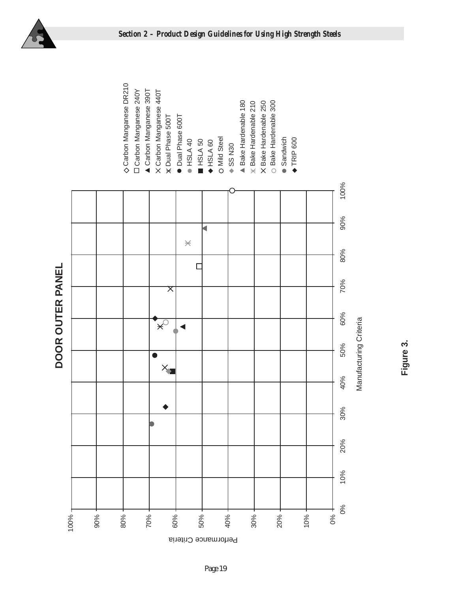



**Figure 3.**

DOOR OUTER PANEL **DOOR OUTER PANEL**

*Page 19*

erformance Criteria P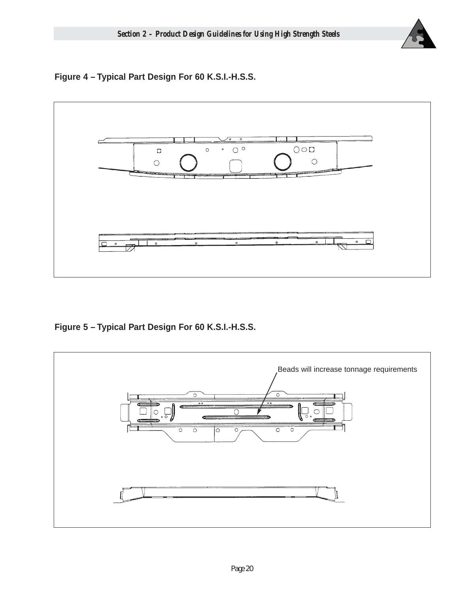

**Figure 4 – Typical Part Design For 60 K.S.I.-H.S.S.**



**Figure 5 – Typical Part Design For 60 K.S.I.-H.S.S.**

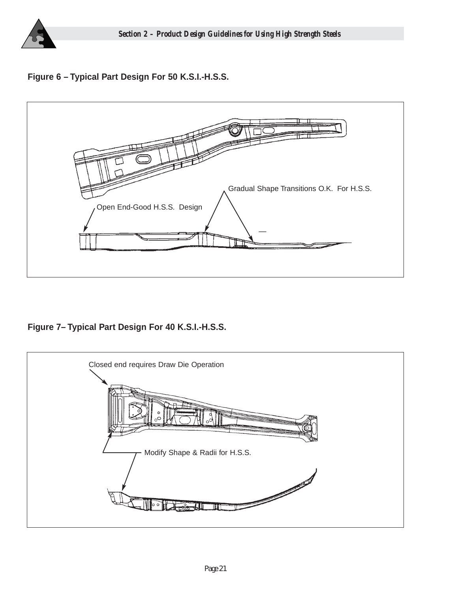

## **Figure 6 – Typical Part Design For 50 K.S.I.-H.S.S.**



**Figure 7– Typical Part Design For 40 K.S.I.-H.S.S.**

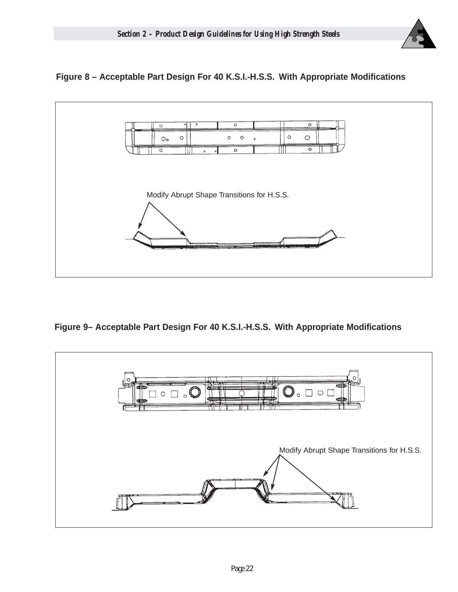

## **Figure 8 – Acceptable Part Design For 40 K.S.I.-H.S.S. With Appropriate Modifications**



**Figure 9– Acceptable Part Design For 40 K.S.I.-H.S.S. With Appropriate Modifications**

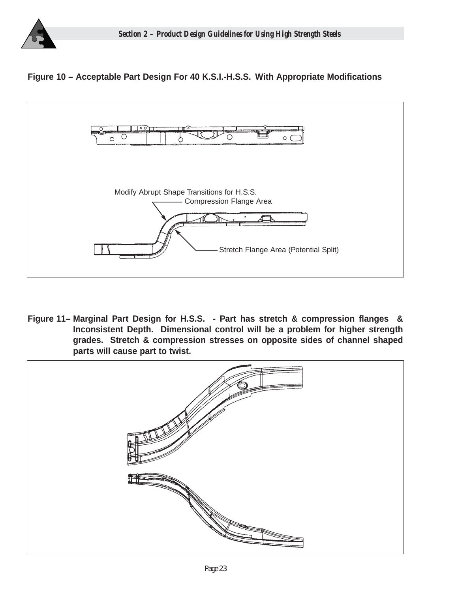

## **Figure 10 – Acceptable Part Design For 40 K.S.I.-H.S.S. With Appropriate Modifications**



**Figure 11– Marginal Part Design for H.S.S. - Part has stretch & compression flanges & Inconsistent Depth. Dimensional control will be a problem for higher strength grades. Stretch & compression stresses on opposite sides of channel shaped parts will cause part to twist.**

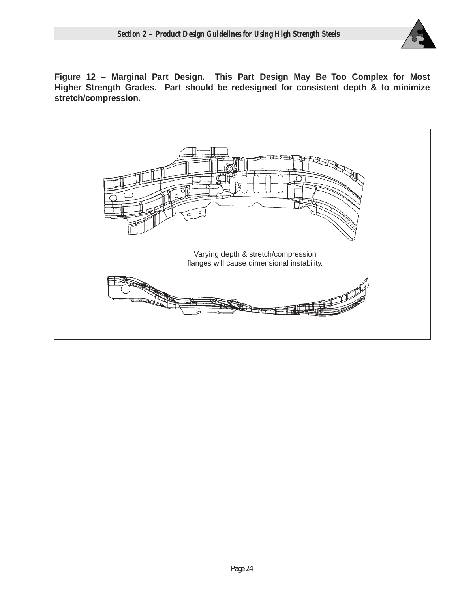

**Figure 12 – Marginal Part Design. This Part Design May Be Too Complex for Most Higher Strength Grades. Part should be redesigned for consistent depth & to minimize stretch/compression.**

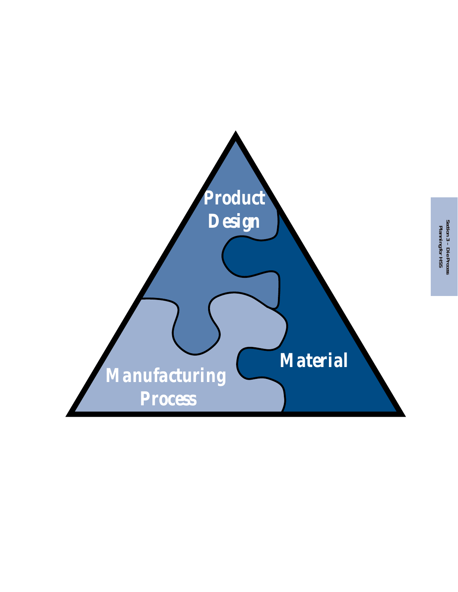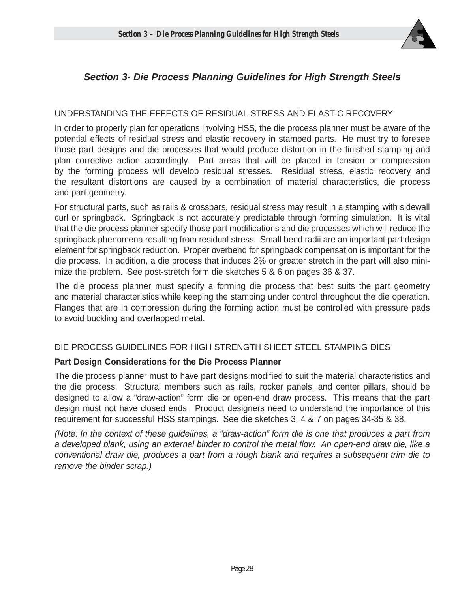

## **Section 3- Die Process Planning Guidelines for High Strength Steels**

## UNDERSTANDING THE EFFECTS OF RESIDUAL STRESS AND ELASTIC RECOVERY

In order to properly plan for operations involving HSS, the die process planner must be aware of the potential effects of residual stress and elastic recovery in stamped parts. He must try to foresee those part designs and die processes that would produce distortion in the finished stamping and plan corrective action accordingly. Part areas that will be placed in tension or compression by the forming process will develop residual stresses. Residual stress, elastic recovery and the resultant distortions are caused by a combination of material characteristics, die process and part geometry.

For structural parts, such as rails & crossbars, residual stress may result in a stamping with sidewall curl or springback. Springback is not accurately predictable through forming simulation. It is vital that the die process planner specify those part modifications and die processes which will reduce the springback phenomena resulting from residual stress. Small bend radii are an important part design element for springback reduction. Proper overbend for springback compensation is important for the die process. In addition, a die process that induces 2% or greater stretch in the part will also minimize the problem. See post-stretch form die sketches 5 & 6 on pages 36 & 37.

The die process planner must specify a forming die process that best suits the part geometry and material characteristics while keeping the stamping under control throughout the die operation. Flanges that are in compression during the forming action must be controlled with pressure pads to avoid buckling and overlapped metal.

## DIE PROCESS GUIDELINES FOR HIGH STRENGTH SHEET STEEL STAMPING DIES

## **Part Design Considerations for the Die Process Planner**

The die process planner must to have part designs modified to suit the material characteristics and the die process. Structural members such as rails, rocker panels, and center pillars, should be designed to allow a "draw-action" form die or open-end draw process. This means that the part design must not have closed ends. Product designers need to understand the importance of this requirement for successful HSS stampings. See die sketches 3, 4 & 7 on pages 34-35 & 38.

(Note: In the context of these guidelines, a "draw-action" form die is one that produces a part from a developed blank, using an external binder to control the metal flow. An open-end draw die, like a conventional draw die, produces a part from a rough blank and requires a subsequent trim die to remove the binder scrap.)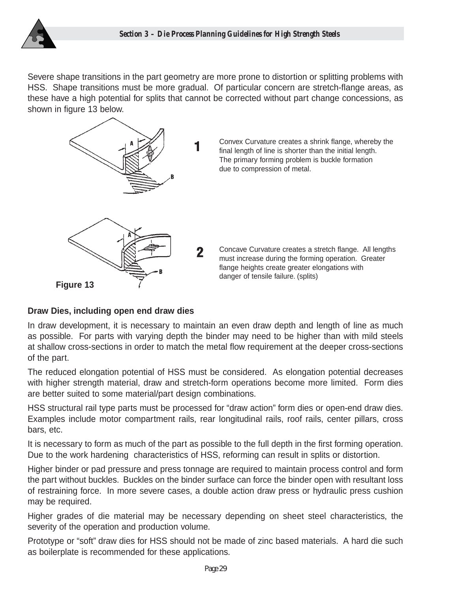

Severe shape transitions in the part geometry are more prone to distortion or splitting problems with HSS. Shape transitions must be more gradual. Of particular concern are stretch-flange areas, as these have a high potential for splits that cannot be corrected without part change concessions, as shown in figure 13 below.



## **Draw Dies, including open end draw dies**

In draw development, it is necessary to maintain an even draw depth and length of line as much as possible. For parts with varying depth the binder may need to be higher than with mild steels at shallow cross-sections in order to match the metal flow requirement at the deeper cross-sections of the part.

The reduced elongation potential of HSS must be considered. As elongation potential decreases with higher strength material, draw and stretch-form operations become more limited. Form dies are better suited to some material/part design combinations.

HSS structural rail type parts must be processed for "draw action" form dies or open-end draw dies. Examples include motor compartment rails, rear longitudinal rails, roof rails, center pillars, cross bars, etc.

It is necessary to form as much of the part as possible to the full depth in the first forming operation. Due to the work hardening characteristics of HSS, reforming can result in splits or distortion.

Higher binder or pad pressure and press tonnage are required to maintain process control and form the part without buckles. Buckles on the binder surface can force the binder open with resultant loss of restraining force. In more severe cases, a double action draw press or hydraulic press cushion may be required.

Higher grades of die material may be necessary depending on sheet steel characteristics, the severity of the operation and production volume.

Prototype or "soft" draw dies for HSS should not be made of zinc based materials. A hard die such as boilerplate is recommended for these applications.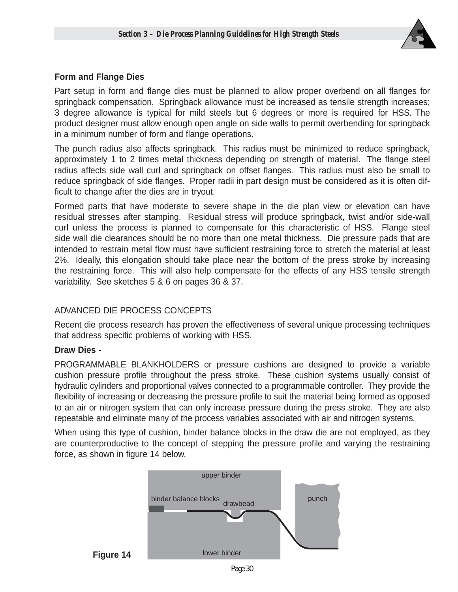

## **Form and Flange Dies**

Part setup in form and flange dies must be planned to allow proper overbend on all flanges for springback compensation. Springback allowance must be increased as tensile strength increases; 3 degree allowance is typical for mild steels but 6 degrees or more is required for HSS. The product designer must allow enough open angle on side walls to permit overbending for springback in a minimum number of form and flange operations.

The punch radius also affects springback. This radius must be minimized to reduce springback, approximately 1 to 2 times metal thickness depending on strength of material. The flange steel radius affects side wall curl and springback on offset flanges. This radius must also be small to reduce springback of side flanges. Proper radii in part design must be considered as it is often difficult to change after the dies are in tryout.

Formed parts that have moderate to severe shape in the die plan view or elevation can have residual stresses after stamping. Residual stress will produce springback, twist and/or side-wall curl unless the process is planned to compensate for this characteristic of HSS. Flange steel side wall die clearances should be no more than one metal thickness. Die pressure pads that are intended to restrain metal flow must have sufficient restraining force to stretch the material at least 2%. Ideally, this elongation should take place near the bottom of the press stroke by increasing the restraining force. This will also help compensate for the effects of any HSS tensile strength variability. See sketches 5 & 6 on pages 36 & 37.

## ADVANCED DIE PROCESS CONCEPTS

Recent die process research has proven the effectiveness of several unique processing techniques that address specific problems of working with HSS.

## **Draw Dies -**

PROGRAMMABLE BLANKHOLDERS or pressure cushions are designed to provide a variable cushion pressure profile throughout the press stroke. These cushion systems usually consist of hydraulic cylinders and proportional valves connected to a programmable controller. They provide the flexibility of increasing or decreasing the pressure profile to suit the material being formed as opposed to an air or nitrogen system that can only increase pressure during the press stroke. They are also repeatable and eliminate many of the process variables associated with air and nitrogen systems.

When using this type of cushion, binder balance blocks in the draw die are not employed, as they are counterproductive to the concept of stepping the pressure profile and varying the restraining force, as shown in figure 14 below.



*Page 30*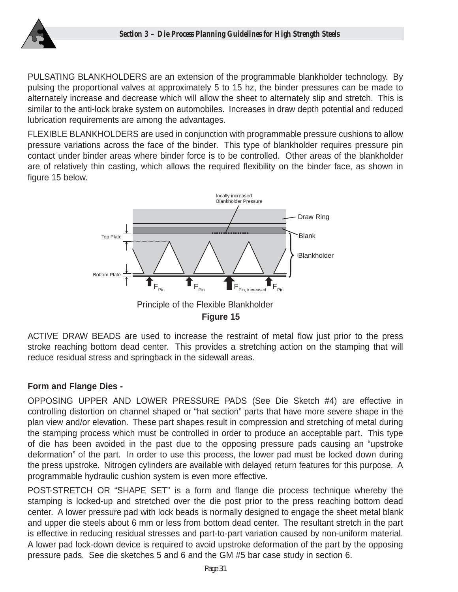

PULSATING BLANKHOLDERS are an extension of the programmable blankholder technology. By pulsing the proportional valves at approximately 5 to 15 hz, the binder pressures can be made to alternately increase and decrease which will allow the sheet to alternately slip and stretch. This is similar to the anti-lock brake system on automobiles. Increases in draw depth potential and reduced lubrication requirements are among the advantages.

FLEXIBLE BLANKHOLDERS are used in conjunction with programmable pressure cushions to allow pressure variations across the face of the binder. This type of blankholder requires pressure pin contact under binder areas where binder force is to be controlled. Other areas of the blankholder are of relatively thin casting, which allows the required flexibility on the binder face, as shown in figure 15 below.



**Figure 15** 

ACTIVE DRAW BEADS are used to increase the restraint of metal flow just prior to the press stroke reaching bottom dead center. This provides a stretching action on the stamping that will reduce residual stress and springback in the sidewall areas.

## **Form and Flange Dies -**

OPPOSING UPPER AND LOWER PRESSURE PADS (See Die Sketch #4) are effective in controlling distortion on channel shaped or "hat section" parts that have more severe shape in the plan view and/or elevation. These part shapes result in compression and stretching of metal during the stamping process which must be controlled in order to produce an acceptable part. This type of die has been avoided in the past due to the opposing pressure pads causing an "upstroke deformation" of the part. In order to use this process, the lower pad must be locked down during the press upstroke. Nitrogen cylinders are available with delayed return features for this purpose. A programmable hydraulic cushion system is even more effective.

POST-STRETCH OR "SHAPE SET" is a form and flange die process technique whereby the stamping is locked-up and stretched over the die post prior to the press reaching bottom dead center. A lower pressure pad with lock beads is normally designed to engage the sheet metal blank and upper die steels about 6 mm or less from bottom dead center. The resultant stretch in the part is effective in reducing residual stresses and part-to-part variation caused by non-uniform material. A lower pad lock-down device is required to avoid upstroke deformation of the part by the opposing pressure pads. See die sketches 5 and 6 and the GM #5 bar case study in section 6.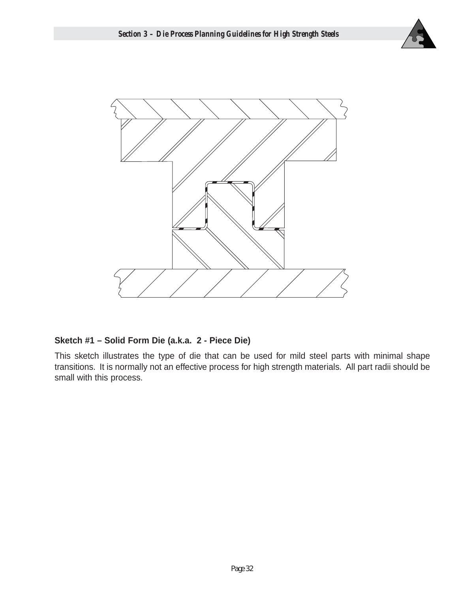



## **Sketch #1 – Solid Form Die (a.k.a. 2 - Piece Die)**

This sketch illustrates the type of die that can be used for mild steel parts with minimal shape transitions. It is normally not an effective process for high strength materials. All part radii should be small with this process.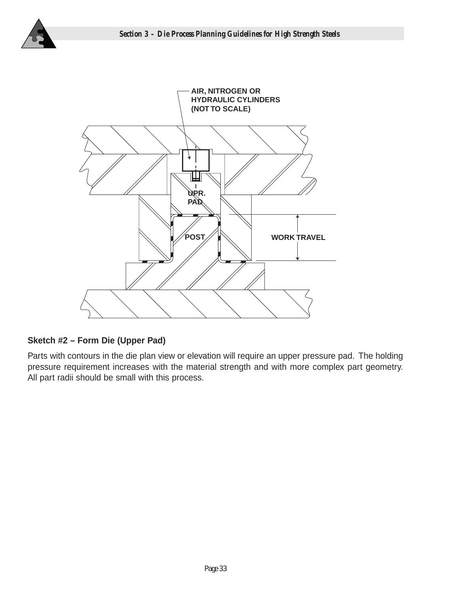



## **Sketch #2 – Form Die (Upper Pad)**

Parts with contours in the die plan view or elevation will require an upper pressure pad. The holding pressure requirement increases with the material strength and with more complex part geometry. All part radii should be small with this process.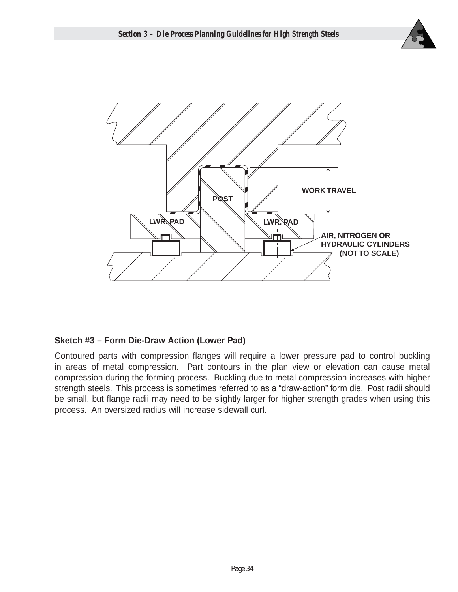



## **Sketch #3 – Form Die-Draw Action (Lower Pad)**

Contoured parts with compression flanges will require a lower pressure pad to control buckling in areas of metal compression. Part contours in the plan view or elevation can cause metal compression during the forming process. Buckling due to metal compression increases with higher strength steels. This process is sometimes referred to as a "draw-action" form die. Post radii should be small, but flange radii may need to be slightly larger for higher strength grades when using this process. An oversized radius will increase sidewall curl.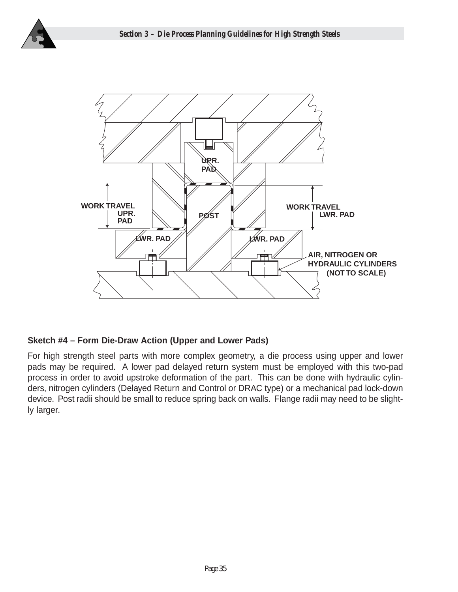



## **Sketch #4 – Form Die-Draw Action (Upper and Lower Pads)**

For high strength steel parts with more complex geometry, a die process using upper and lower pads may be required. A lower pad delayed return system must be employed with this two-pad process in order to avoid upstroke deformation of the part. This can be done with hydraulic cylinders, nitrogen cylinders (Delayed Return and Control or DRAC type) or a mechanical pad lock-down device. Post radii should be small to reduce spring back on walls. Flange radii may need to be slightly larger.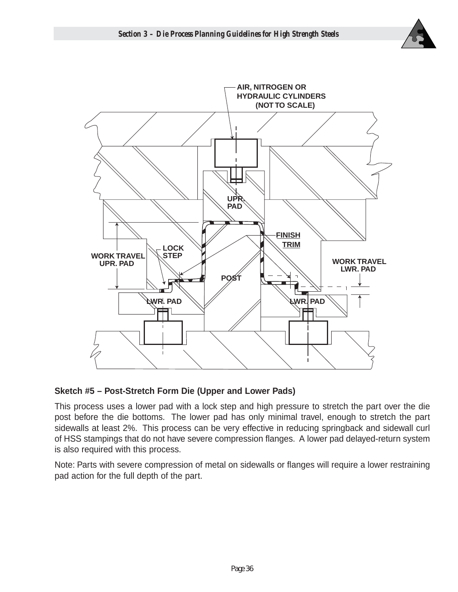



## **Sketch #5 – Post-Stretch Form Die (Upper and Lower Pads)**

This process uses a lower pad with a lock step and high pressure to stretch the part over the die post before the die bottoms. The lower pad has only minimal travel, enough to stretch the part sidewalls at least 2%. This process can be very effective in reducing springback and sidewall curl of HSS stampings that do not have severe compression flanges. A lower pad delayed-return system is also required with this process.

Note: Parts with severe compression of metal on sidewalls or flanges will require a lower restraining pad action for the full depth of the part.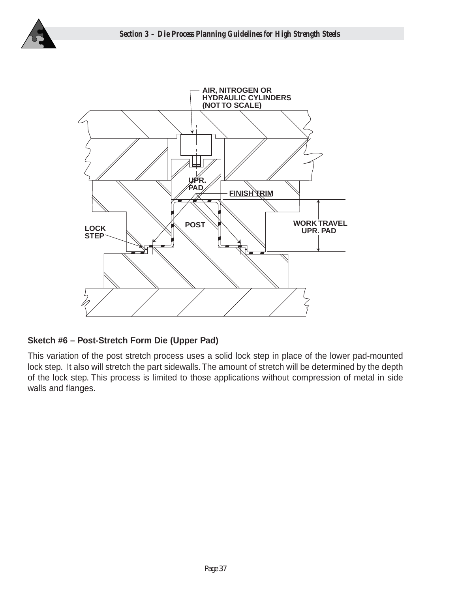



## **Sketch #6 – Post-Stretch Form Die (Upper Pad)**

This variation of the post stretch process uses a solid lock step in place of the lower pad-mounted lock step. It also will stretch the part sidewalls. The amount of stretch will be determined by the depth of the lock step. This process is limited to those applications without compression of metal in side walls and flanges.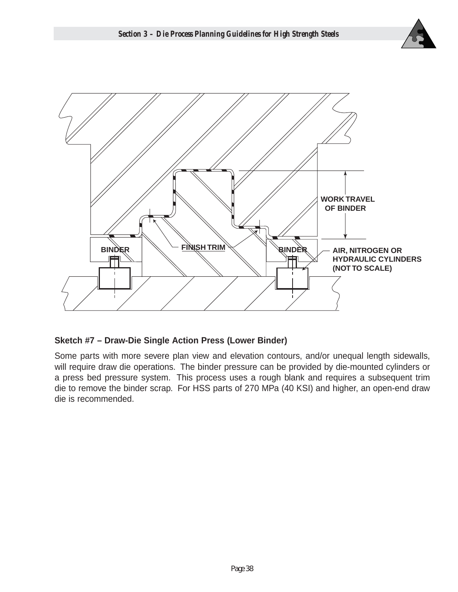



## **Sketch #7 – Draw-Die Single Action Press (Lower Binder)**

Some parts with more severe plan view and elevation contours, and/or unequal length sidewalls, will require draw die operations. The binder pressure can be provided by die-mounted cylinders or a press bed pressure system. This process uses a rough blank and requires a subsequent trim die to remove the binder scrap. For HSS parts of 270 MPa (40 KSI) and higher, an open-end draw die is recommended.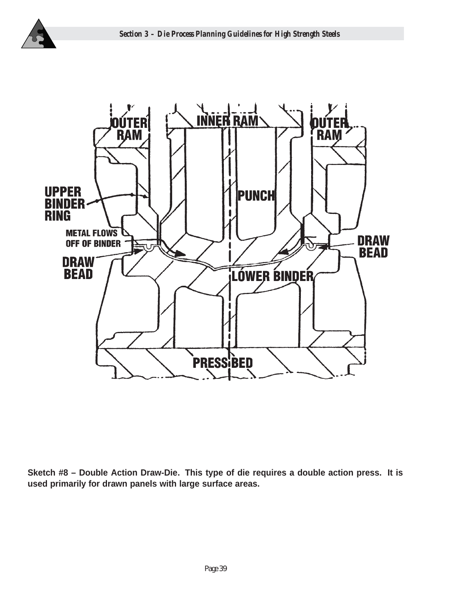



**Sketch #8 – Double Action Draw-Die. This type of die requires a double action press. It is used primarily for drawn panels with large surface areas.**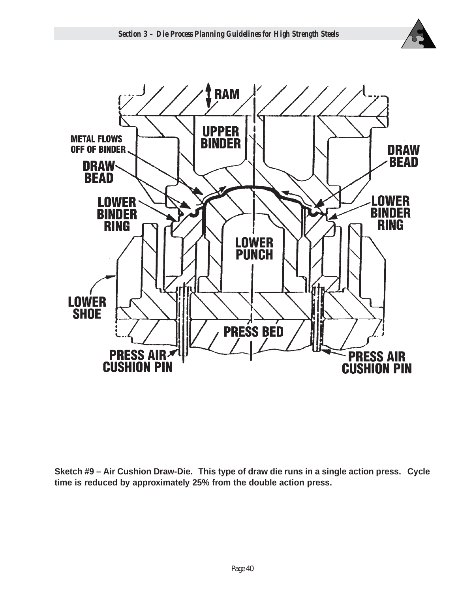



**Sketch #9 – Air Cushion Draw-Die. This type of draw die runs in a single action press. Cycle time is reduced by approximately 25% from the double action press.**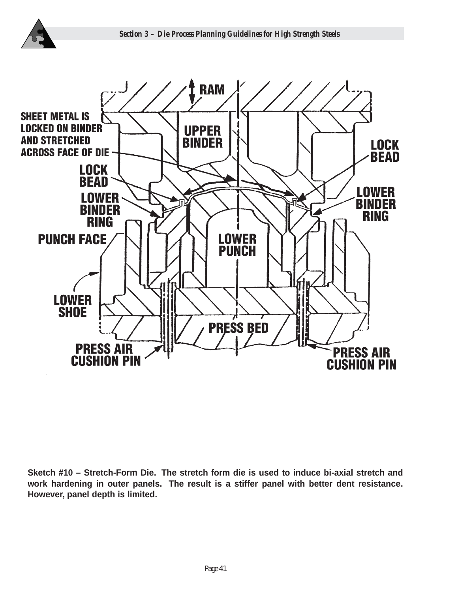



**Sketch #10 – Stretch-Form Die. The stretch form die is used to induce bi-axial stretch and work hardening in outer panels. The result is a stiffer panel with better dent resistance. However, panel depth is limited.**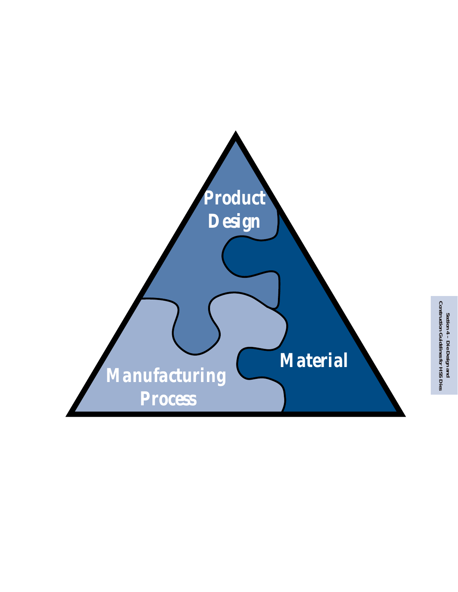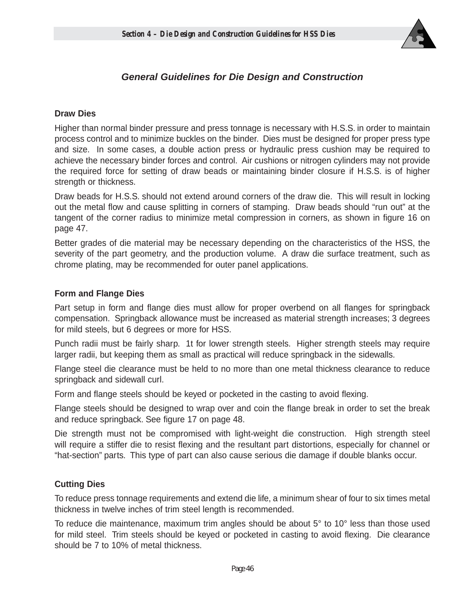

## **General Guidelines for Die Design and Construction**

#### **Draw Dies**

Higher than normal binder pressure and press tonnage is necessary with H.S.S. in order to maintain process control and to minimize buckles on the binder. Dies must be designed for proper press type and size. In some cases, a double action press or hydraulic press cushion may be required to achieve the necessary binder forces and control. Air cushions or nitrogen cylinders may not provide the required force for setting of draw beads or maintaining binder closure if H.S.S. is of higher strength or thickness.

Draw beads for H.S.S. should not extend around corners of the draw die. This will result in locking out the metal flow and cause splitting in corners of stamping. Draw beads should "run out" at the tangent of the corner radius to minimize metal compression in corners, as shown in figure 16 on page 47.

Better grades of die material may be necessary depending on the characteristics of the HSS, the severity of the part geometry, and the production volume. A draw die surface treatment, such as chrome plating, may be recommended for outer panel applications.

#### **Form and Flange Dies**

Part setup in form and flange dies must allow for proper overbend on all flanges for springback compensation. Springback allowance must be increased as material strength increases; 3 degrees for mild steels, but 6 degrees or more for HSS.

Punch radii must be fairly sharp. 1t for lower strength steels. Higher strength steels may require larger radii, but keeping them as small as practical will reduce springback in the sidewalls.

Flange steel die clearance must be held to no more than one metal thickness clearance to reduce springback and sidewall curl.

Form and flange steels should be keyed or pocketed in the casting to avoid flexing.

Flange steels should be designed to wrap over and coin the flange break in order to set the break and reduce springback. See figure 17 on page 48.

Die strength must not be compromised with light-weight die construction. High strength steel will require a stiffer die to resist flexing and the resultant part distortions, especially for channel or "hat-section" parts. This type of part can also cause serious die damage if double blanks occur.

## **Cutting Dies**

To reduce press tonnage requirements and extend die life, a minimum shear of four to six times metal thickness in twelve inches of trim steel length is recommended.

To reduce die maintenance, maximum trim angles should be about 5° to 10° less than those used for mild steel. Trim steels should be keyed or pocketed in casting to avoid flexing. Die clearance should be 7 to 10% of metal thickness.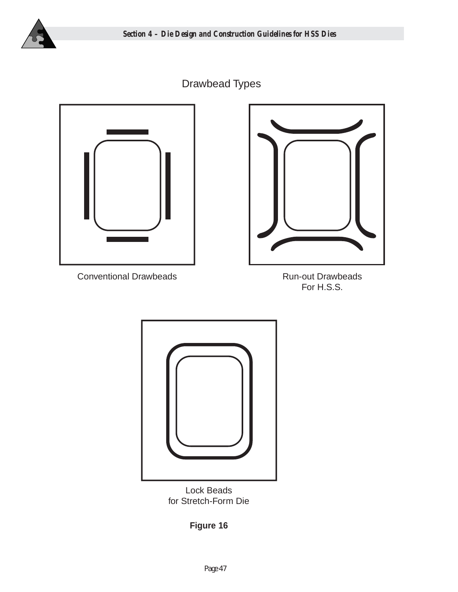

# Drawbead Types



Conventional Drawbeads **Run-out Drawbeads** 



For H.S.S.



Lock Beads for Stretch-Form Die

**Figure 16**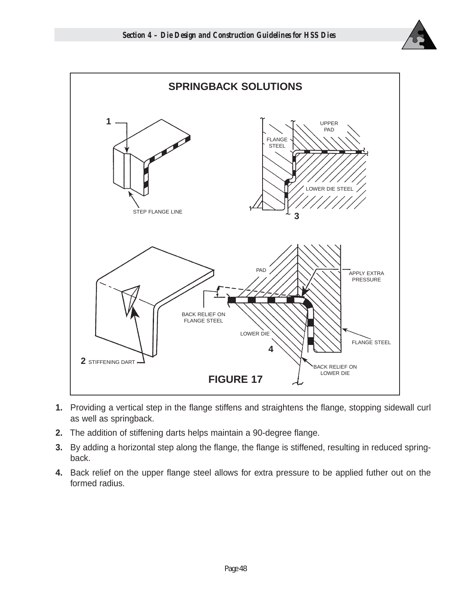



- **1.** Providing a vertical step in the flange stiffens and straightens the flange, stopping sidewall curl as well as springback.
- **2.** The addition of stiffening darts helps maintain a 90-degree flange.
- **3.** By adding a horizontal step along the flange, the flange is stiffened, resulting in reduced springback.
- **4.** Back relief on the upper flange steel allows for extra pressure to be applied futher out on the formed radius.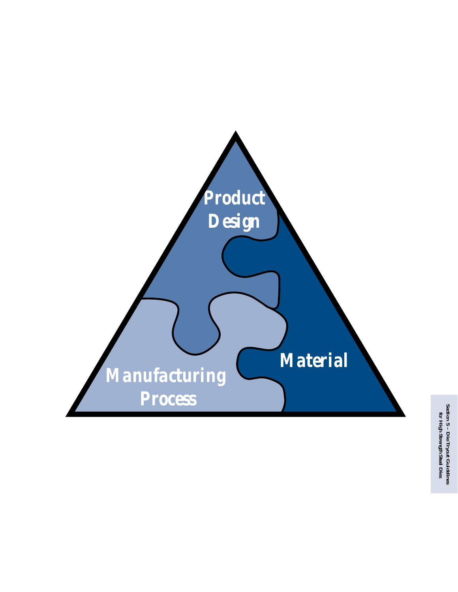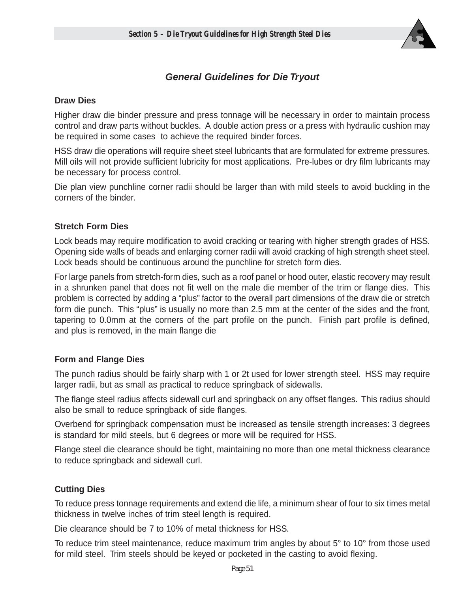

## **General Guidelines for Die Tryout**

## **Draw Dies**

Higher draw die binder pressure and press tonnage will be necessary in order to maintain process control and draw parts without buckles. A double action press or a press with hydraulic cushion may be required in some cases to achieve the required binder forces.

HSS draw die operations will require sheet steel lubricants that are formulated for extreme pressures. Mill oils will not provide sufficient lubricity for most applications. Pre-lubes or dry film lubricants may be necessary for process control.

Die plan view punchline corner radii should be larger than with mild steels to avoid buckling in the corners of the binder.

## **Stretch Form Dies**

Lock beads may require modification to avoid cracking or tearing with higher strength grades of HSS. Opening side walls of beads and enlarging corner radii will avoid cracking of high strength sheet steel. Lock beads should be continuous around the punchline for stretch form dies.

For large panels from stretch-form dies, such as a roof panel or hood outer, elastic recovery may result in a shrunken panel that does not fit well on the male die member of the trim or flange dies. This problem is corrected by adding a "plus" factor to the overall part dimensions of the draw die or stretch form die punch. This "plus" is usually no more than 2.5 mm at the center of the sides and the front, tapering to 0.0mm at the corners of the part profile on the punch. Finish part profile is defined, and plus is removed, in the main flange die

## **Form and Flange Dies**

The punch radius should be fairly sharp with 1 or 2t used for lower strength steel. HSS may require larger radii, but as small as practical to reduce springback of sidewalls.

The flange steel radius affects sidewall curl and springback on any offset flanges. This radius should also be small to reduce springback of side flanges.

Overbend for springback compensation must be increased as tensile strength increases: 3 degrees is standard for mild steels, but 6 degrees or more will be required for HSS.

Flange steel die clearance should be tight, maintaining no more than one metal thickness clearance to reduce springback and sidewall curl.

## **Cutting Dies**

To reduce press tonnage requirements and extend die life, a minimum shear of four to six times metal thickness in twelve inches of trim steel length is required.

Die clearance should be 7 to 10% of metal thickness for HSS.

To reduce trim steel maintenance, reduce maximum trim angles by about 5° to 10° from those used for mild steel. Trim steels should be keyed or pocketed in the casting to avoid flexing.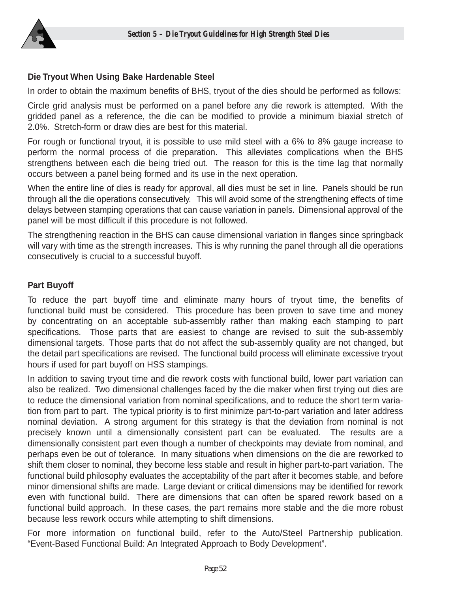

## **Die Tryout When Using Bake Hardenable Steel**

In order to obtain the maximum benefits of BHS, tryout of the dies should be performed as follows:

Circle grid analysis must be performed on a panel before any die rework is attempted. With the gridded panel as a reference, the die can be modified to provide a minimum biaxial stretch of 2.0%. Stretch-form or draw dies are best for this material.

For rough or functional tryout, it is possible to use mild steel with a 6% to 8% gauge increase to perform the normal process of die preparation. This alleviates complications when the BHS strengthens between each die being tried out. The reason for this is the time lag that normally occurs between a panel being formed and its use in the next operation.

When the entire line of dies is ready for approval, all dies must be set in line. Panels should be run through all the die operations consecutively. This will avoid some of the strengthening effects of time delays between stamping operations that can cause variation in panels. Dimensional approval of the panel will be most difficult if this procedure is not followed.

The strengthening reaction in the BHS can cause dimensional variation in flanges since springback will vary with time as the strength increases. This is why running the panel through all die operations consecutively is crucial to a successful buyoff.

## **Part Buyoff**

To reduce the part buyoff time and eliminate many hours of tryout time, the benefits of functional build must be considered. This procedure has been proven to save time and money by concentrating on an acceptable sub-assembly rather than making each stamping to part specifications. Those parts that are easiest to change are revised to suit the sub-assembly dimensional targets. Those parts that do not affect the sub-assembly quality are not changed, but the detail part specifications are revised. The functional build process will eliminate excessive tryout hours if used for part buyoff on HSS stampings.

In addition to saving tryout time and die rework costs with functional build, lower part variation can also be realized. Two dimensional challenges faced by the die maker when first trying out dies are to reduce the dimensional variation from nominal specifications, and to reduce the short term variation from part to part. The typical priority is to first minimize part-to-part variation and later address nominal deviation. A strong argument for this strategy is that the deviation from nominal is not precisely known until a dimensionally consistent part can be evaluated. The results are a dimensionally consistent part even though a number of checkpoints may deviate from nominal, and perhaps even be out of tolerance. In many situations when dimensions on the die are reworked to shift them closer to nominal, they become less stable and result in higher part-to-part variation. The functional build philosophy evaluates the acceptability of the part after it becomes stable, and before minor dimensional shifts are made. Large deviant or critical dimensions may be identified for rework even with functional build. There are dimensions that can often be spared rework based on a functional build approach. In these cases, the part remains more stable and the die more robust because less rework occurs while attempting to shift dimensions.

For more information on functional build, refer to the Auto/Steel Partnership publication. "Event-Based Functional Build: An Integrated Approach to Body Development".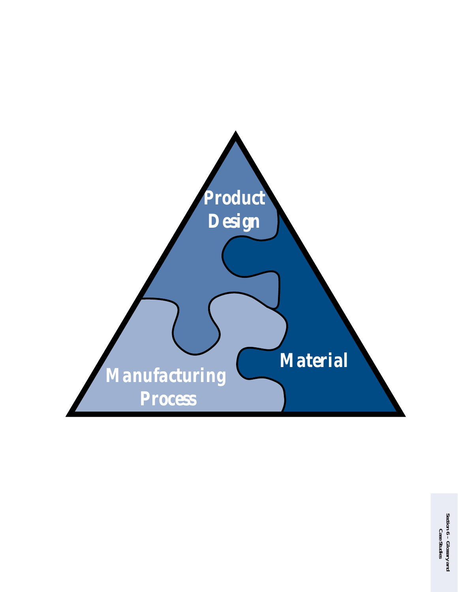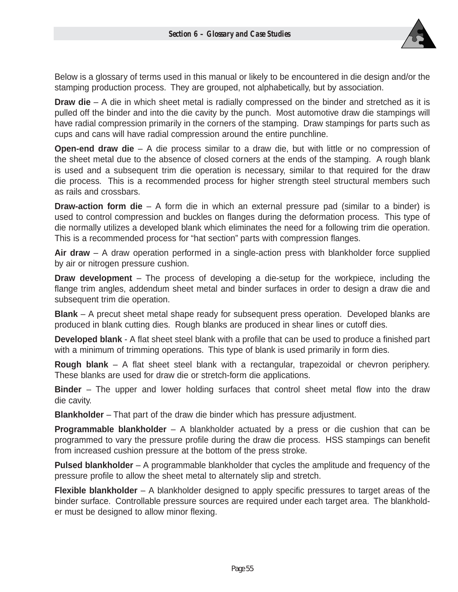

Below is a glossary of terms used in this manual or likely to be encountered in die design and/or the stamping production process. They are grouped, not alphabetically, but by association.

**Draw die** – A die in which sheet metal is radially compressed on the binder and stretched as it is pulled off the binder and into the die cavity by the punch. Most automotive draw die stampings will have radial compression primarily in the corners of the stamping. Draw stampings for parts such as cups and cans will have radial compression around the entire punchline.

**Open-end draw die** – A die process similar to a draw die, but with little or no compression of the sheet metal due to the absence of closed corners at the ends of the stamping. A rough blank is used and a subsequent trim die operation is necessary, similar to that required for the draw die process. This is a recommended process for higher strength steel structural members such as rails and crossbars.

**Draw-action form die** – A form die in which an external pressure pad (similar to a binder) is used to control compression and buckles on flanges during the deformation process. This type of die normally utilizes a developed blank which eliminates the need for a following trim die operation. This is a recommended process for "hat section" parts with compression flanges.

**Air draw** – A draw operation performed in a single-action press with blankholder force supplied by air or nitrogen pressure cushion.

**Draw development** – The process of developing a die-setup for the workpiece, including the flange trim angles, addendum sheet metal and binder surfaces in order to design a draw die and subsequent trim die operation.

**Blank** – A precut sheet metal shape ready for subsequent press operation. Developed blanks are produced in blank cutting dies. Rough blanks are produced in shear lines or cutoff dies.

**Developed blank** - A flat sheet steel blank with a profile that can be used to produce a finished part with a minimum of trimming operations. This type of blank is used primarily in form dies.

**Rough blank** – A flat sheet steel blank with a rectangular, trapezoidal or chevron periphery. These blanks are used for draw die or stretch-form die applications.

**Binder** – The upper and lower holding surfaces that control sheet metal flow into the draw die cavity.

**Blankholder** – That part of the draw die binder which has pressure adjustment.

**Programmable blankholder** – A blankholder actuated by a press or die cushion that can be programmed to vary the pressure profile during the draw die process. HSS stampings can benefit from increased cushion pressure at the bottom of the press stroke.

**Pulsed blankholder** – A programmable blankholder that cycles the amplitude and frequency of the pressure profile to allow the sheet metal to alternately slip and stretch.

**Flexible blankholder** – A blankholder designed to apply specific pressures to target areas of the binder surface. Controllable pressure sources are required under each target area. The blankholder must be designed to allow minor flexing.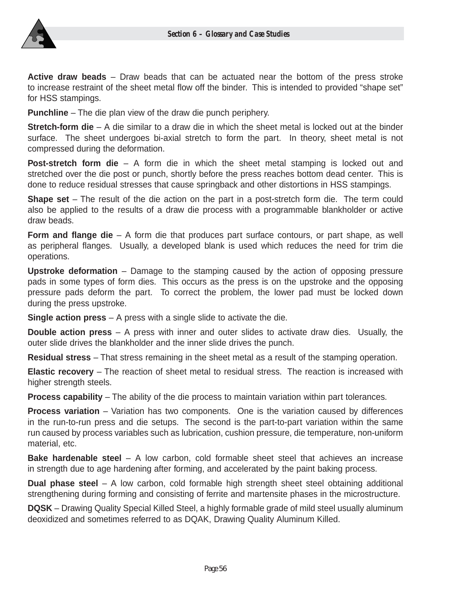

**Active draw beads** – Draw beads that can be actuated near the bottom of the press stroke to increase restraint of the sheet metal flow off the binder. This is intended to provided "shape set" for HSS stampings.

**Punchline** – The die plan view of the draw die punch periphery.

**Stretch-form die** – A die similar to a draw die in which the sheet metal is locked out at the binder surface. The sheet undergoes bi-axial stretch to form the part. In theory, sheet metal is not compressed during the deformation.

**Post-stretch form die** – A form die in which the sheet metal stamping is locked out and stretched over the die post or punch, shortly before the press reaches bottom dead center. This is done to reduce residual stresses that cause springback and other distortions in HSS stampings.

**Shape set** – The result of the die action on the part in a post-stretch form die. The term could also be applied to the results of a draw die process with a programmable blankholder or active draw beads.

**Form and flange die** – A form die that produces part surface contours, or part shape, as well as peripheral flanges. Usually, a developed blank is used which reduces the need for trim die operations.

**Upstroke deformation** – Damage to the stamping caused by the action of opposing pressure pads in some types of form dies. This occurs as the press is on the upstroke and the opposing pressure pads deform the part. To correct the problem, the lower pad must be locked down during the press upstroke.

**Single action press** – A press with a single slide to activate the die.

**Double action press** – A press with inner and outer slides to activate draw dies. Usually, the outer slide drives the blankholder and the inner slide drives the punch.

**Residual stress** – That stress remaining in the sheet metal as a result of the stamping operation.

**Elastic recovery** – The reaction of sheet metal to residual stress. The reaction is increased with higher strength steels.

**Process capability** – The ability of the die process to maintain variation within part tolerances.

**Process variation** – Variation has two components. One is the variation caused by differences in the run-to-run press and die setups. The second is the part-to-part variation within the same run caused by process variables such as lubrication, cushion pressure, die temperature, non-uniform material, etc.

**Bake hardenable steel** – A low carbon, cold formable sheet steel that achieves an increase in strength due to age hardening after forming, and accelerated by the paint baking process.

**Dual phase steel** – A low carbon, cold formable high strength sheet steel obtaining additional strengthening during forming and consisting of ferrite and martensite phases in the microstructure.

**DQSK** – Drawing Quality Special Killed Steel, a highly formable grade of mild steel usually aluminum deoxidized and sometimes referred to as DQAK, Drawing Quality Aluminum Killed.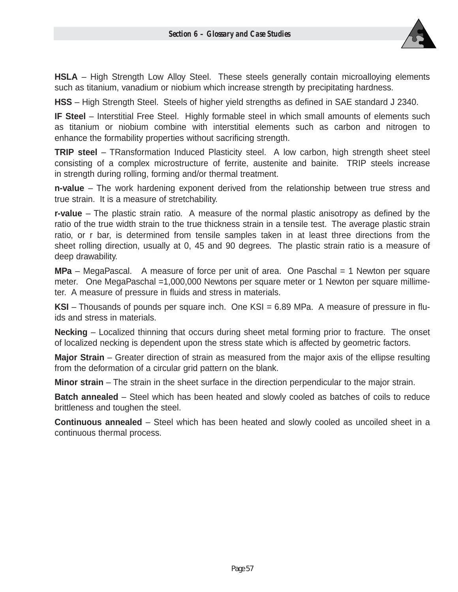

**HSLA** – High Strength Low Alloy Steel. These steels generally contain microalloying elements such as titanium, vanadium or niobium which increase strength by precipitating hardness.

**HSS** – High Strength Steel. Steels of higher yield strengths as defined in SAE standard J 2340.

**IF Steel** – Interstitial Free Steel. Highly formable steel in which small amounts of elements such as titanium or niobium combine with interstitial elements such as carbon and nitrogen to enhance the formability properties without sacrificing strength.

**TRIP steel** – TRansformation Induced Plasticity steel. A low carbon, high strength sheet steel consisting of a complex microstructure of ferrite, austenite and bainite. TRIP steels increase in strength during rolling, forming and/or thermal treatment.

**n-value** – The work hardening exponent derived from the relationship between true stress and true strain. It is a measure of stretchability.

**r-value** – The plastic strain ratio. A measure of the normal plastic anisotropy as defined by the ratio of the true width strain to the true thickness strain in a tensile test. The average plastic strain ratio, or r bar, is determined from tensile samples taken in at least three directions from the sheet rolling direction, usually at 0, 45 and 90 degrees. The plastic strain ratio is a measure of deep drawability.

**MPa** – MegaPascal. A measure of force per unit of area. One Paschal = 1 Newton per square meter. One MegaPaschal =1,000,000 Newtons per square meter or 1 Newton per square millimeter. A measure of pressure in fluids and stress in materials.

**KSI** – Thousands of pounds per square inch. One KSI = 6.89 MPa. A measure of pressure in fluids and stress in materials.

**Necking** – Localized thinning that occurs during sheet metal forming prior to fracture. The onset of localized necking is dependent upon the stress state which is affected by geometric factors.

**Major Strain** – Greater direction of strain as measured from the major axis of the ellipse resulting from the deformation of a circular grid pattern on the blank.

**Minor strain** – The strain in the sheet surface in the direction perpendicular to the major strain.

**Batch annealed** – Steel which has been heated and slowly cooled as batches of coils to reduce brittleness and toughen the steel.

**Continuous annealed** – Steel which has been heated and slowly cooled as uncoiled sheet in a continuous thermal process.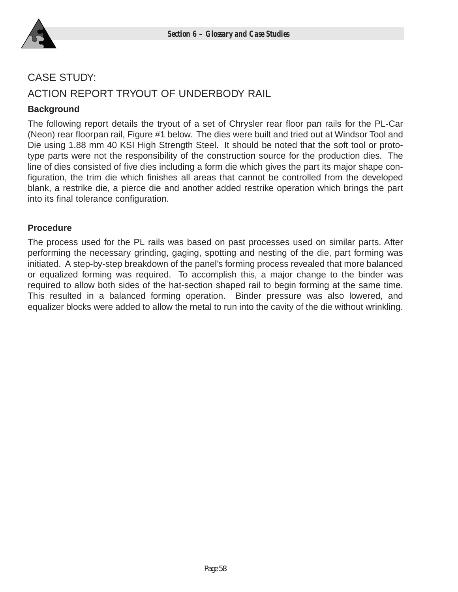

# CASE STUDY: ACTION REPORT TRYOUT OF UNDERBODY RAIL

## **Background**

The following report details the tryout of a set of Chrysler rear floor pan rails for the PL-Car (Neon) rear floorpan rail, Figure #1 below. The dies were built and tried out at Windsor Tool and Die using 1.88 mm 40 KSI High Strength Steel. It should be noted that the soft tool or prototype parts were not the responsibility of the construction source for the production dies. The line of dies consisted of five dies including a form die which gives the part its major shape configuration, the trim die which finishes all areas that cannot be controlled from the developed blank, a restrike die, a pierce die and another added restrike operation which brings the part into its final tolerance configuration.

#### **Procedure**

The process used for the PL rails was based on past processes used on similar parts. After performing the necessary grinding, gaging, spotting and nesting of the die, part forming was initiated. A step-by-step breakdown of the panel's forming process revealed that more balanced or equalized forming was required. To accomplish this, a major change to the binder was required to allow both sides of the hat-section shaped rail to begin forming at the same time. This resulted in a balanced forming operation. Binder pressure was also lowered, and equalizer blocks were added to allow the metal to run into the cavity of the die without wrinkling.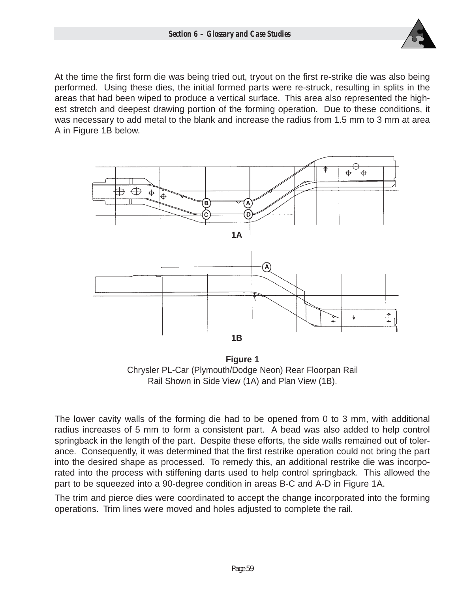

At the time the first form die was being tried out, tryout on the first re-strike die was also being performed. Using these dies, the initial formed parts were re-struck, resulting in splits in the areas that had been wiped to produce a vertical surface. This area also represented the highest stretch and deepest drawing portion of the forming operation. Due to these conditions, it was necessary to add metal to the blank and increase the radius from 1.5 mm to 3 mm at area A in Figure 1B below.



**Figure 1** Chrysler PL-Car (Plymouth/Dodge Neon) Rear Floorpan Rail Rail Shown in Side View (1A) and Plan View (1B).

The lower cavity walls of the forming die had to be opened from 0 to 3 mm, with additional radius increases of 5 mm to form a consistent part. A bead was also added to help control springback in the length of the part. Despite these efforts, the side walls remained out of tolerance. Consequently, it was determined that the first restrike operation could not bring the part into the desired shape as processed. To remedy this, an additional restrike die was incorporated into the process with stiffening darts used to help control springback. This allowed the part to be squeezed into a 90-degree condition in areas B-C and A-D in Figure 1A.

The trim and pierce dies were coordinated to accept the change incorporated into the forming operations. Trim lines were moved and holes adjusted to complete the rail.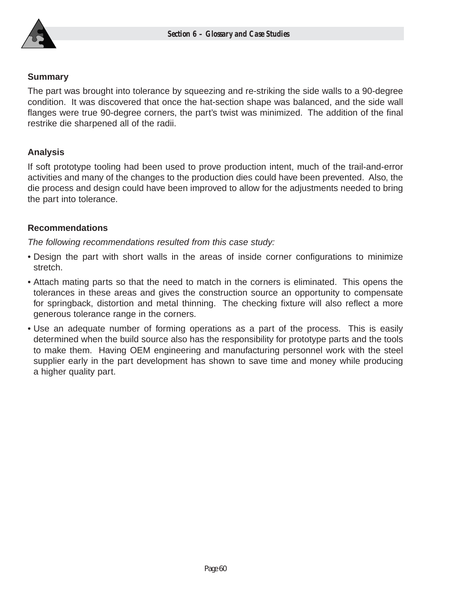

#### **Summary**

The part was brought into tolerance by squeezing and re-striking the side walls to a 90-degree condition. It was discovered that once the hat-section shape was balanced, and the side wall flanges were true 90-degree corners, the part's twist was minimized. The addition of the final restrike die sharpened all of the radii.

## **Analysis**

If soft prototype tooling had been used to prove production intent, much of the trail-and-error activities and many of the changes to the production dies could have been prevented. Also, the die process and design could have been improved to allow for the adjustments needed to bring the part into tolerance.

## **Recommendations**

The following recommendations resulted from this case study:

- Design the part with short walls in the areas of inside corner configurations to minimize stretch.
- Attach mating parts so that the need to match in the corners is eliminated. This opens the tolerances in these areas and gives the construction source an opportunity to compensate for springback, distortion and metal thinning. The checking fixture will also reflect a more generous tolerance range in the corners.
- Use an adequate number of forming operations as a part of the process. This is easily determined when the build source also has the responsibility for prototype parts and the tools to make them. Having OEM engineering and manufacturing personnel work with the steel supplier early in the part development has shown to save time and money while producing a higher quality part.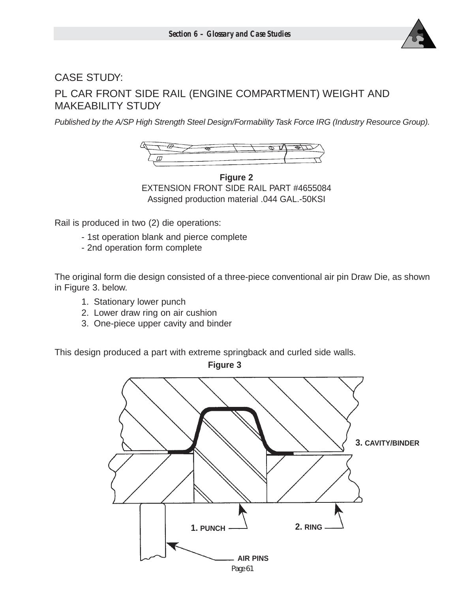

# CASE STUDY: PL CAR FRONT SIDE RAIL (ENGINE COMPARTMENT) WEIGHT AND MAKEABILITY STUDY

Published by the A/SP High Strength Steel Design/Formability Task Force IRG (Industry Resource Group).



**Figure 2** EXTENSION FRONT SIDE RAIL PART #4655084 Assigned production material .044 GAL.-50KSI

Rail is produced in two (2) die operations:

- 1st operation blank and pierce complete
- 2nd operation form complete

The original form die design consisted of a three-piece conventional air pin Draw Die, as shown in Figure 3. below.

- 1. Stationary lower punch
- 2. Lower draw ring on air cushion
- 3. One-piece upper cavity and binder

This design produced a part with extreme springback and curled side walls.

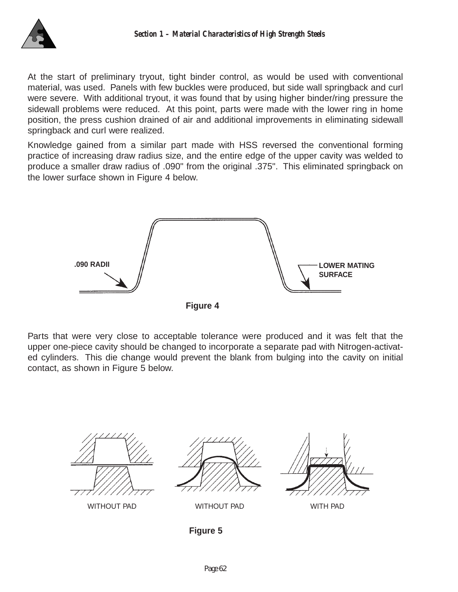

At the start of preliminary tryout, tight binder control, as would be used with conventional material, was used. Panels with few buckles were produced, but side wall springback and curl were severe. With additional tryout, it was found that by using higher binder/ring pressure the sidewall problems were reduced. At this point, parts were made with the lower ring in home position, the press cushion drained of air and additional improvements in eliminating sidewall springback and curl were realized.

Knowledge gained from a similar part made with HSS reversed the conventional forming practice of increasing draw radius size, and the entire edge of the upper cavity was welded to produce a smaller draw radius of .090" from the original .375". This eliminated springback on the lower surface shown in Figure 4 below.



Parts that were very close to acceptable tolerance were produced and it was felt that the upper one-piece cavity should be changed to incorporate a separate pad with Nitrogen-activated cylinders. This die change would prevent the blank from bulging into the cavity on initial contact, as shown in Figure 5 below.



**Figure 5**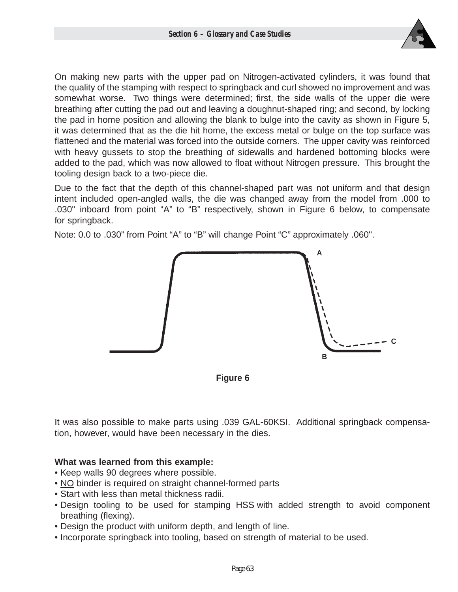

On making new parts with the upper pad on Nitrogen-activated cylinders, it was found that the quality of the stamping with respect to springback and curl showed no improvement and was somewhat worse. Two things were determined; first, the side walls of the upper die were breathing after cutting the pad out and leaving a doughnut-shaped ring; and second, by locking the pad in home position and allowing the blank to bulge into the cavity as shown in Figure 5, it was determined that as the die hit home, the excess metal or bulge on the top surface was flattened and the material was forced into the outside corners. The upper cavity was reinforced with heavy gussets to stop the breathing of sidewalls and hardened bottoming blocks were added to the pad, which was now allowed to float without Nitrogen pressure. This brought the tooling design back to a two-piece die.

Due to the fact that the depth of this channel-shaped part was not uniform and that design intent included open-angled walls, the die was changed away from the model from .000 to .030" inboard from point "A" to "B" respectively, shown in Figure 6 below, to compensate for springback.

Note: 0.0 to .030" from Point "A" to "B" will change Point "C" approximately .060".



**Figure 6**

It was also possible to make parts using .039 GAL-60KSI. Additional springback compensation, however, would have been necessary in the dies.

## **What was learned from this example:**

- Keep walls 90 degrees where possible.
- NO binder is required on straight channel-formed parts
- Start with less than metal thickness radii.
- Design tooling to be used for stamping HSS with added strength to avoid component breathing (flexing).
- Design the product with uniform depth, and length of line.
- Incorporate springback into tooling, based on strength of material to be used.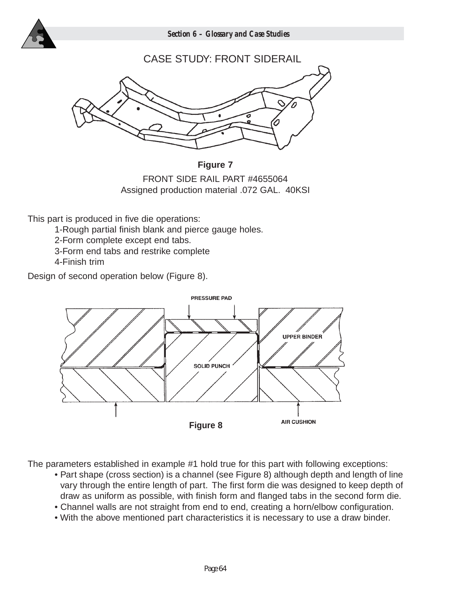

*Section 6 – Glossary and Case Studies*



**Figure 7** FRONT SIDE RAIL PART #4655064 Assigned production material .072 GAL. 40KSI

This part is produced in five die operations:

1-Rough partial finish blank and pierce gauge holes.

- 2-Form complete except end tabs.
- 3-Form end tabs and restrike complete
- 4-Finish trim

Design of second operation below (Figure 8).



The parameters established in example #1 hold true for this part with following exceptions:

- Part shape (cross section) is a channel (see Figure 8) although depth and length of line vary through the entire length of part. The first form die was designed to keep depth of draw as uniform as possible, with finish form and flanged tabs in the second form die.
- Channel walls are not straight from end to end, creating a horn/elbow configuration.
- With the above mentioned part characteristics it is necessary to use a draw binder.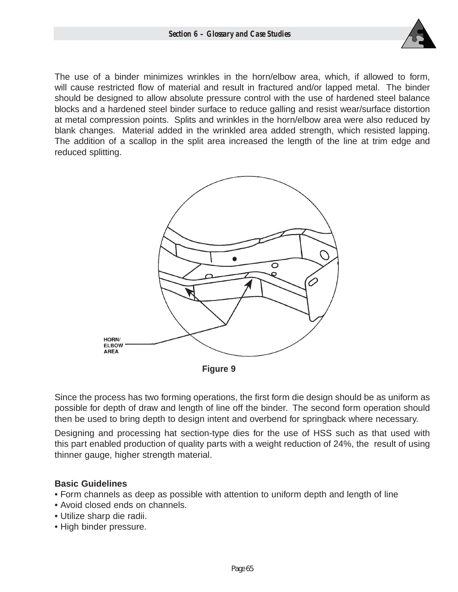

The use of a binder minimizes wrinkles in the horn/elbow area, which, if allowed to form, will cause restricted flow of material and result in fractured and/or lapped metal. The binder should be designed to allow absolute pressure control with the use of hardened steel balance blocks and a hardened steel binder surface to reduce galling and resist wear/surface distortion at metal compression points. Splits and wrinkles in the horn/elbow area were also reduced by blank changes. Material added in the wrinkled area added strength, which resisted lapping. The addition of a scallop in the split area increased the length of the line at trim edge and reduced splitting.



Since the process has two forming operations, the first form die design should be as uniform as possible for depth of draw and length of line off the binder. The second form operation should then be used to bring depth to design intent and overbend for springback where necessary.

Designing and processing hat section-type dies for the use of HSS such as that used with this part enabled production of quality parts with a weight reduction of 24%, the result of using thinner gauge, higher strength material.

## **Basic Guidelines**

- Form channels as deep as possible with attention to uniform depth and length of line
- Avoid closed ends on channels.
- Utilize sharp die radii.
- High binder pressure.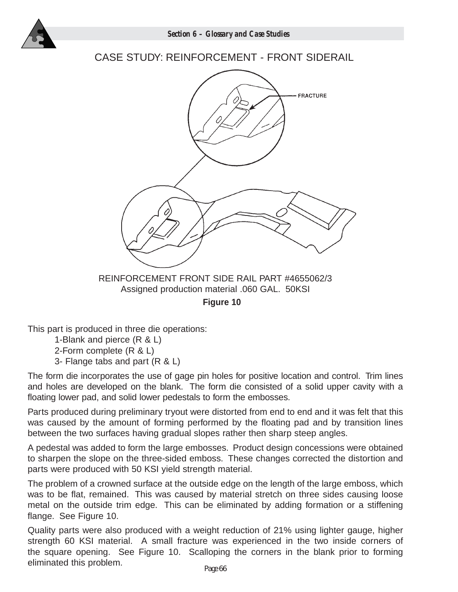

## CASE STUDY: REINFORCEMENT - FRONT SIDERAIL



REINFORCEMENT FRONT SIDE RAIL PART #4655062/3 Assigned production material .060 GAL. 50KSI

**Figure 10**

This part is produced in three die operations:

1-Blank and pierce (R & L)

2-Form complete (R & L)

3- Flange tabs and part (R & L)

The form die incorporates the use of gage pin holes for positive location and control. Trim lines and holes are developed on the blank. The form die consisted of a solid upper cavity with a floating lower pad, and solid lower pedestals to form the embosses.

Parts produced during preliminary tryout were distorted from end to end and it was felt that this was caused by the amount of forming performed by the floating pad and by transition lines between the two surfaces having gradual slopes rather then sharp steep angles.

A pedestal was added to form the large embosses. Product design concessions were obtained to sharpen the slope on the three-sided emboss. These changes corrected the distortion and parts were produced with 50 KSI yield strength material.

The problem of a crowned surface at the outside edge on the length of the large emboss, which was to be flat, remained. This was caused by material stretch on three sides causing loose metal on the outside trim edge. This can be eliminated by adding formation or a stiffening flange. See Figure 10.

Quality parts were also produced with a weight reduction of 21% using lighter gauge, higher strength 60 KSI material. A small fracture was experienced in the two inside corners of the square opening. See Figure 10. Scalloping the corners in the blank prior to forming eliminated this problem.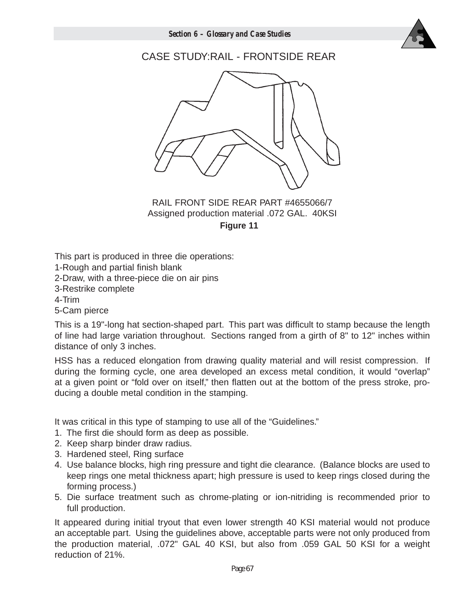

## CASE STUDY:RAIL - FRONTSIDE REAR



## RAIL FRONT SIDE REAR PART #4655066/7 Assigned production material .072 GAL. 40KSI **Figure 11**

This part is produced in three die operations:

1-Rough and partial finish blank

2-Draw, with a three-piece die on air pins

3-Restrike complete

4-Trim

5-Cam pierce

This is a 19"-long hat section-shaped part. This part was difficult to stamp because the length of line had large variation throughout. Sections ranged from a girth of 8" to 12" inches within distance of only 3 inches.

HSS has a reduced elongation from drawing quality material and will resist compression. If during the forming cycle, one area developed an excess metal condition, it would "overlap" at a given point or "fold over on itself," then flatten out at the bottom of the press stroke, producing a double metal condition in the stamping.

It was critical in this type of stamping to use all of the "Guidelines."

- 1. The first die should form as deep as possible.
- 2. Keep sharp binder draw radius.
- 3. Hardened steel, Ring surface
- 4. Use balance blocks, high ring pressure and tight die clearance. (Balance blocks are used to keep rings one metal thickness apart; high pressure is used to keep rings closed during the forming process.)
- 5. Die surface treatment such as chrome-plating or ion-nitriding is recommended prior to full production.

It appeared during initial tryout that even lower strength 40 KSI material would not produce an acceptable part. Using the guidelines above, acceptable parts were not only produced from the production material, .072" GAL 40 KSI, but also from .059 GAL 50 KSI for a weight reduction of 21%.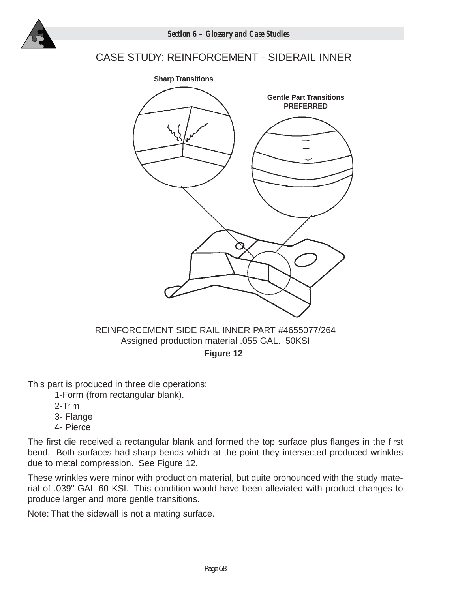

## CASE STUDY: REINFORCEMENT - SIDERAIL INNER



Assigned production material .055 GAL. 50KSI

**Figure 12**

This part is produced in three die operations:

1-Form (from rectangular blank).

- 2-Trim
- 3- Flange
- 4- Pierce

The first die received a rectangular blank and formed the top surface plus flanges in the first bend. Both surfaces had sharp bends which at the point they intersected produced wrinkles due to metal compression. See Figure 12.

These wrinkles were minor with production material, but quite pronounced with the study material of .039" GAL 60 KSI. This condition would have been alleviated with product changes to produce larger and more gentle transitions.

Note: That the sidewall is not a mating surface.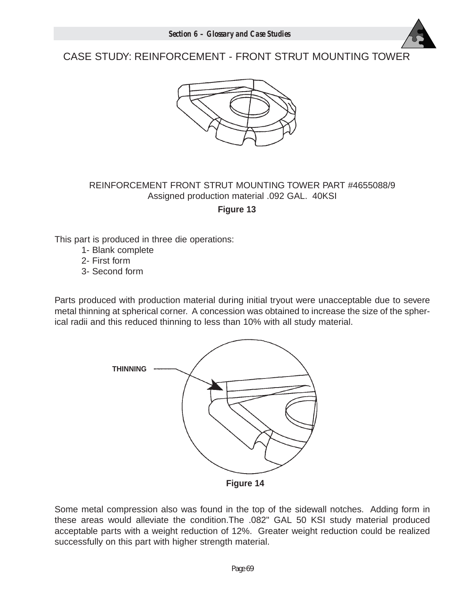

# CASE STUDY: REINFORCEMENT - FRONT STRUT MOUNTING TOWER



## REINFORCEMENT FRONT STRUT MOUNTING TOWER PART #4655088/9 Assigned production material .092 GAL. 40KSI

**Figure 13**

This part is produced in three die operations:

- 1- Blank complete
- 2- First form
- 3- Second form

Parts produced with production material during initial tryout were unacceptable due to severe metal thinning at spherical corner. A concession was obtained to increase the size of the spherical radii and this reduced thinning to less than 10% with all study material.



Some metal compression also was found in the top of the sidewall notches. Adding form in these areas would alleviate the condition.The .082" GAL 50 KSI study material produced acceptable parts with a weight reduction of 12%. Greater weight reduction could be realized successfully on this part with higher strength material.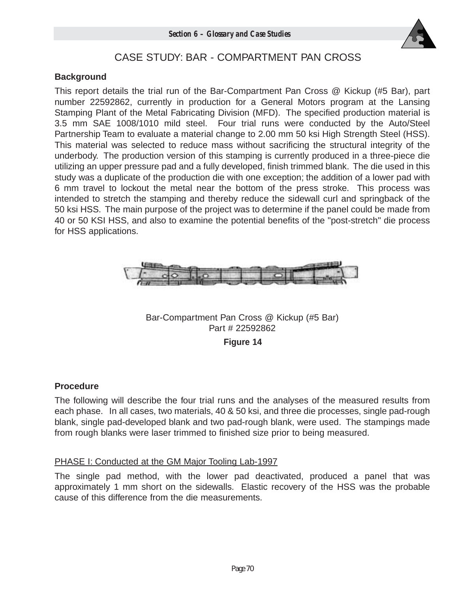

## CASE STUDY: BAR - COMPARTMENT PAN CROSS

## **Background**

This report details the trial run of the Bar-Compartment Pan Cross @ Kickup (#5 Bar), part number 22592862, currently in production for a General Motors program at the Lansing Stamping Plant of the Metal Fabricating Division (MFD). The specified production material is 3.5 mm SAE 1008/1010 mild steel. Four trial runs were conducted by the Auto/Steel Partnership Team to evaluate a material change to 2.00 mm 50 ksi High Strength Steel (HSS). This material was selected to reduce mass without sacrificing the structural integrity of the underbody. The production version of this stamping is currently produced in a three-piece die utilizing an upper pressure pad and a fully developed, finish trimmed blank. The die used in this study was a duplicate of the production die with one exception; the addition of a lower pad with 6 mm travel to lockout the metal near the bottom of the press stroke. This process was intended to stretch the stamping and thereby reduce the sidewall curl and springback of the 50 ksi HSS. The main purpose of the project was to determine if the panel could be made from 40 or 50 KSI HSS, and also to examine the potential benefits of the "post-stretch" die process for HSS applications.



Bar-Compartment Pan Cross @ Kickup (#5 Bar) Part # 22592862

**Figure 14**

## **Procedure**

The following will describe the four trial runs and the analyses of the measured results from each phase. In all cases, two materials, 40 & 50 ksi, and three die processes, single pad-rough blank, single pad-developed blank and two pad-rough blank, were used. The stampings made from rough blanks were laser trimmed to finished size prior to being measured.

## PHASE I: Conducted at the GM Major Tooling Lab-1997

The single pad method, with the lower pad deactivated, produced a panel that was approximately 1 mm short on the sidewalls. Elastic recovery of the HSS was the probable cause of this difference from the die measurements.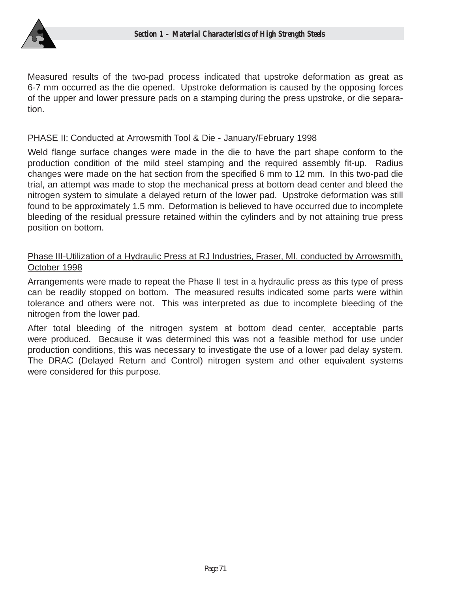

Measured results of the two-pad process indicated that upstroke deformation as great as 6-7 mm occurred as the die opened. Upstroke deformation is caused by the opposing forces of the upper and lower pressure pads on a stamping during the press upstroke, or die separation.

## PHASE II: Conducted at Arrowsmith Tool & Die - January/February 1998

Weld flange surface changes were made in the die to have the part shape conform to the production condition of the mild steel stamping and the required assembly fit-up. Radius changes were made on the hat section from the specified 6 mm to 12 mm. In this two-pad die trial, an attempt was made to stop the mechanical press at bottom dead center and bleed the nitrogen system to simulate a delayed return of the lower pad. Upstroke deformation was still found to be approximately 1.5 mm. Deformation is believed to have occurred due to incomplete bleeding of the residual pressure retained within the cylinders and by not attaining true press position on bottom.

## Phase III-Utilization of a Hydraulic Press at RJ Industries, Fraser, MI, conducted by Arrowsmith, October 1998

Arrangements were made to repeat the Phase II test in a hydraulic press as this type of press can be readily stopped on bottom. The measured results indicated some parts were within tolerance and others were not. This was interpreted as due to incomplete bleeding of the nitrogen from the lower pad.

After total bleeding of the nitrogen system at bottom dead center, acceptable parts were produced. Because it was determined this was not a feasible method for use under production conditions, this was necessary to investigate the use of a lower pad delay system. The DRAC (Delayed Return and Control) nitrogen system and other equivalent systems were considered for this purpose.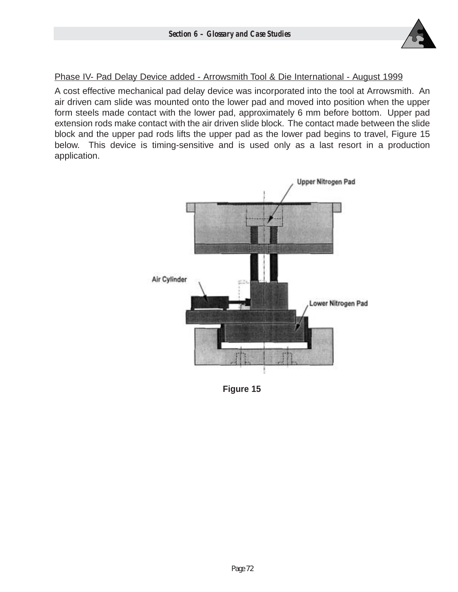

## Phase IV- Pad Delay Device added - Arrowsmith Tool & Die International - August 1999

A cost effective mechanical pad delay device was incorporated into the tool at Arrowsmith. An air driven cam slide was mounted onto the lower pad and moved into position when the upper form steels made contact with the lower pad, approximately 6 mm before bottom. Upper pad extension rods make contact with the air driven slide block. The contact made between the slide block and the upper pad rods lifts the upper pad as the lower pad begins to travel, Figure 15 below. This device is timing-sensitive and is used only as a last resort in a production application.



**Figure 15**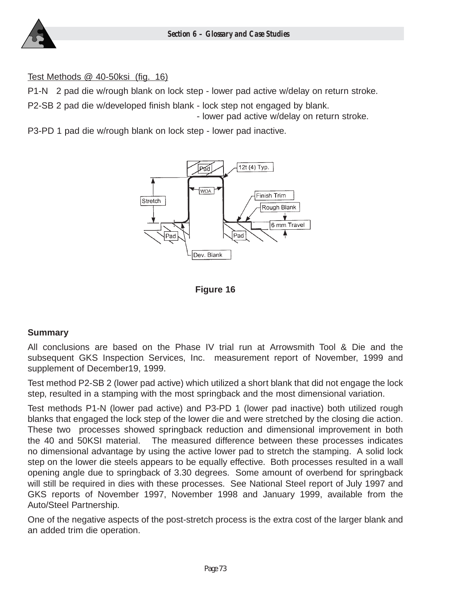#### Test Methods @ 40-50ksi (fig. 16)

P1-N 2 pad die w/rough blank on lock step - lower pad active w/delay on return stroke.

P2-SB 2 pad die w/developed finish blank - lock step not engaged by blank.

- lower pad active w/delay on return stroke.

P3-PD 1 pad die w/rough blank on lock step - lower pad inactive.





## **Summary**

All conclusions are based on the Phase IV trial run at Arrowsmith Tool & Die and the subsequent GKS Inspection Services, Inc. measurement report of November, 1999 and supplement of December19, 1999.

Test method P2-SB 2 (lower pad active) which utilized a short blank that did not engage the lock step, resulted in a stamping with the most springback and the most dimensional variation.

Test methods P1-N (lower pad active) and P3-PD 1 (lower pad inactive) both utilized rough blanks that engaged the lock step of the lower die and were stretched by the closing die action. These two processes showed springback reduction and dimensional improvement in both the 40 and 50KSI material. The measured difference between these processes indicates no dimensional advantage by using the active lower pad to stretch the stamping. A solid lock step on the lower die steels appears to be equally effective. Both processes resulted in a wall opening angle due to springback of 3.30 degrees. Some amount of overbend for springback will still be required in dies with these processes. See National Steel report of July 1997 and GKS reports of November 1997, November 1998 and January 1999, available from the Auto/Steel Partnership.

One of the negative aspects of the post-stretch process is the extra cost of the larger blank and an added trim die operation.